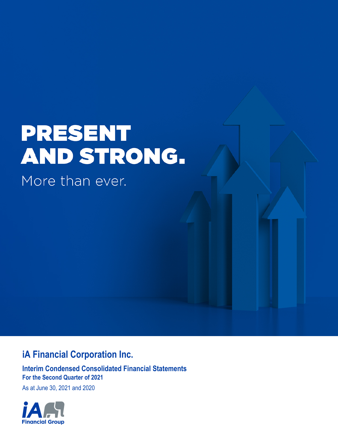# **PRESENT** AND STRONG.

More than ever.

# **iA Financial Corporation Inc.**

**Interim Condensed Consolidated Financial Statements For the Second Quarter of 2021**

As at June 30, 2021 and 2020

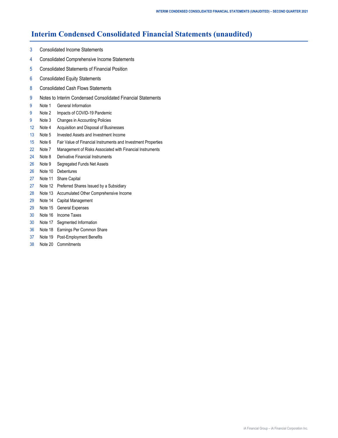# **Interim Condensed Consolidated Financial Statements (unaudited)**

- [3 Consolidated Income Statements](#page-2-0)
- [4 Consolidated Comprehensive Income Statements](#page-3-0)
- [5 Consolidated Statements of Financial Position](#page-4-0)
- [6 Consolidated Equity Statements](#page-5-0)
- [8 Consolidated Cash Flows Statements](#page-7-0)
- [9 Notes to Interim Condensed Consolidated Financial Statements](#page-8-0)
- [9 Note](#page-8-0) 1 [General Information](#page-8-0)
- [9](#page-8-0) [Note 2 Impacts of COVID-19 Pandemic](#page-8-0)
- [9 Note](#page-8-0) 3 [Changes in Accounting Policies](#page-8-0)
- [12 Note 4 Acquisition and Disposal of Businesses](#page-11-0)
- [13 Note 5 Invested Assets and Investment Income](#page-12-0)
- [15 Note 6 Fair Value of Financial Instruments and Investment Properties](#page-14-0)
- [22 Note 7 Management of Risks Associated with Financial Instruments](#page-21-0)
- [24 Note 8 Derivative Financial Instruments](#page-23-0)
- [26](#page-25-0) [Note 9 Segregated Funds Net Assets](#page-25-0)
- [26 Note 1](#page-25-0)0 [Debentures](#page-25-0)
- [27 Note 1](#page-26-0)1 [Share Capital](#page-26-0)
- [27 Note 1](#page-26-0)2 [Preferred Shares Issued by a Subsidiary](#page-26-0)
- [28 Note 1](#page-27-0)3 [Accumulated Other Comprehensive Income](#page-27-0)
- [29 Note 1](#page-28-0)4 [Capital Management](#page-28-0)
- [29](#page-28-0) [Note 15](#page-28-0) [General Expenses](#page-28-0)
- [30 Note 1](#page-29-0)6 [Income Taxes](#page-29-0)
- [30 Note 1](#page-29-0)7 [Segmented Information](#page-29-0)
- [36 Note 1](#page-35-0)8 [Earnings Per Common Share](#page-35-0)
- [37 Note 1](#page-36-0)9 [Post-Employment Benefits](#page-36-0)
- [38 Note 20 Commitments](#page-37-0)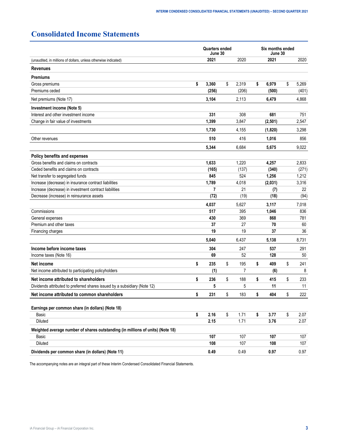# <span id="page-2-0"></span>**Consolidated Income Statements**

|                                                                                | <b>Quarters ended</b><br>June 30 |             | Six months ended<br>June 30 |         |    |       |  |
|--------------------------------------------------------------------------------|----------------------------------|-------------|-----------------------------|---------|----|-------|--|
| (unaudited, in millions of dollars, unless otherwise indicated)                | 2021                             | 2020        |                             | 2021    |    | 2020  |  |
| <b>Revenues</b>                                                                |                                  |             |                             |         |    |       |  |
| <b>Premiums</b>                                                                |                                  |             |                             |         |    |       |  |
| Gross premiums                                                                 | \$<br>3,360                      | \$<br>2,319 | \$                          | 6,979   | \$ | 5,269 |  |
| Premiums ceded                                                                 | (256)                            | (206)       |                             | (500)   |    | (401) |  |
| Net premiums (Note 17)                                                         | 3,104                            | 2,113       |                             | 6,479   |    | 4,868 |  |
| Investment income (Note 5)                                                     |                                  |             |                             |         |    |       |  |
| Interest and other investment income                                           | 331                              | 308         |                             | 681     |    | 751   |  |
| Change in fair value of investments                                            | 1,399                            | 3,847       |                             | (2,501) |    | 2,547 |  |
|                                                                                | 1,730                            | 4,155       |                             | (1,820) |    | 3,298 |  |
| Other revenues                                                                 | 510                              | 416         |                             | 1,016   |    | 856   |  |
|                                                                                | 5,344                            | 6,684       |                             | 5,675   |    | 9,022 |  |
| Policy benefits and expenses                                                   |                                  |             |                             |         |    |       |  |
| Gross benefits and claims on contracts                                         | 1,633                            | 1,220       |                             | 4,257   |    | 2,833 |  |
| Ceded benefits and claims on contracts                                         | (165)                            | (137)       |                             | (340)   |    | (271) |  |
| Net transfer to segregated funds                                               | 845                              | 524         |                             | 1,256   |    | 1,212 |  |
| Increase (decrease) in insurance contract liabilities                          | 1,789                            | 4,018       |                             | (2,031) |    | 3,316 |  |
| Increase (decrease) in investment contract liabilities                         | 7                                | 21          |                             | (7)     |    | 22    |  |
| Decrease (increase) in reinsurance assets                                      | (72)                             | (19)        |                             | (18)    |    | (94)  |  |
|                                                                                | 4,037                            | 5,627       |                             | 3,117   |    | 7,018 |  |
| Commissions                                                                    | 517                              | 395         |                             | 1,046   |    | 836   |  |
| General expenses                                                               | 430                              | 369         |                             | 868     |    | 781   |  |
| Premium and other taxes                                                        | 37                               | 27          |                             | 70      | 60 |       |  |
| Financing charges                                                              | 19                               | 19          |                             | 37      |    | 36    |  |
|                                                                                | 5,040                            | 6,437       |                             | 5,138   |    | 8,731 |  |
| Income before income taxes                                                     | 304                              | 247         |                             | 537     |    | 291   |  |
| Income taxes (Note 16)                                                         | 69                               | 52          |                             | 128     |    | 50    |  |
| Net income                                                                     | \$<br>235                        | \$<br>195   | \$                          | 409     | \$ | 241   |  |
| Net income attributed to participating policyholders                           | (1)                              | 7           |                             | (6)     |    | 8     |  |
| Net income attributed to shareholders                                          | \$<br>236                        | \$<br>188   | \$                          | 415     | \$ | 233   |  |
| Dividends attributed to preferred shares issued by a subsidiary (Note 12)      | 5                                | 5           |                             | 11      |    | 11    |  |
| Net income attributed to common shareholders                                   | \$<br>231                        | \$<br>183   | \$                          | 404     | \$ | 222   |  |
| Earnings per common share (in dollars) (Note 18)                               |                                  |             |                             |         |    |       |  |
| Basic                                                                          | \$<br>2.16                       | \$<br>1.71  | \$                          | 3.77    | \$ | 2.07  |  |
| Diluted                                                                        | 2.15                             | 1.71        |                             | 3.76    |    | 2.07  |  |
| Weighted average number of shares outstanding (in millions of units) (Note 18) |                                  |             |                             |         |    |       |  |
| Basic                                                                          | 107                              | 107         |                             | 107     |    | 107   |  |
| Diluted                                                                        | 108                              | 107         |                             | 108     |    | 107   |  |
| Dividends per common share (in dollars) (Note 11)                              | 0.49                             | 0.49        |                             | 0.97    |    | 0.97  |  |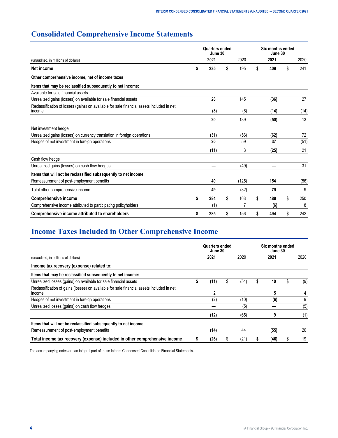# <span id="page-3-0"></span>**Consolidated Comprehensive Income Statements**

|                                                                                                     |    | Quarters ended<br>June 30 |           | Six months ended<br>June 30 |      |    |      |  |
|-----------------------------------------------------------------------------------------------------|----|---------------------------|-----------|-----------------------------|------|----|------|--|
| (unaudited, in millions of dollars)                                                                 |    | 2021                      | 2020      |                             | 2021 |    | 2020 |  |
| Net income                                                                                          | \$ | 235                       | \$<br>195 | \$                          | 409  | \$ | 241  |  |
| Other comprehensive income, net of income taxes                                                     |    |                           |           |                             |      |    |      |  |
| Items that may be reclassified subsequently to net income:                                          |    |                           |           |                             |      |    |      |  |
| Available for sale financial assets                                                                 |    |                           |           |                             |      |    |      |  |
| Unrealized gains (losses) on available for sale financial assets                                    |    | 28                        | 145       |                             | (36) |    | 27   |  |
| Reclassification of losses (gains) on available for sale financial assets included in net<br>income |    | (8)                       | (6)       |                             | (14) |    | (14) |  |
|                                                                                                     |    | 20                        | 139       |                             | (50) |    | 13   |  |
| Net investment hedge                                                                                |    |                           |           |                             |      |    |      |  |
| Unrealized gains (losses) on currency translation in foreign operations                             |    | (31)                      | (56)      |                             | (62) |    | 72   |  |
| Hedges of net investment in foreign operations                                                      |    | 20                        | 59        |                             | 37   |    | (51) |  |
|                                                                                                     |    | (11)                      | 3         |                             | (25) |    | 21   |  |
| Cash flow hedge                                                                                     |    |                           |           |                             |      |    |      |  |
| Unrealized gains (losses) on cash flow hedges                                                       |    |                           | (49)      |                             |      |    | 31   |  |
| Items that will not be reclassified subsequently to net income:                                     |    |                           |           |                             |      |    |      |  |
| Remeasurement of post-employment benefits                                                           |    | 40                        | (125)     |                             | 154  |    | (56) |  |
| Total other comprehensive income                                                                    |    | 49                        | (32)      |                             | 79   |    | 9    |  |
| <b>Comprehensive income</b>                                                                         | \$ | 284                       | \$<br>163 | \$                          | 488  | \$ | 250  |  |
| Comprehensive income attributed to participating policyholders                                      |    | (1)                       | 7         |                             | (6)  |    | 8    |  |
| Comprehensive income attributed to shareholders                                                     | S  | 285                       | \$<br>156 | S                           | 494  | \$ | 242  |  |

# **Income Taxes Included in Other Comprehensive Income**

|                                                                                                                   |   | Quarters ended<br>June 30 |   |      | Six months ended<br>June 30 |      |   |      |
|-------------------------------------------------------------------------------------------------------------------|---|---------------------------|---|------|-----------------------------|------|---|------|
| (unaudited, in millions of dollars)                                                                               |   | 2021                      |   | 2020 |                             | 2021 |   | 2020 |
| Income tax recovery (expense) related to:                                                                         |   |                           |   |      |                             |      |   |      |
| Items that may be reclassified subsequently to net income:                                                        |   |                           |   |      |                             |      |   |      |
| Unrealized losses (gains) on available for sale financial assets                                                  | 5 | (11)                      | S | (51) |                             | 10   | S | (9)  |
| Reclassification of gains (losses) on available for sale financial assets included in net<br><i><b>Income</b></i> |   | 2                         |   |      |                             | 5    |   |      |
| Hedges of net investment in foreign operations                                                                    |   | (3)                       |   | (10) |                             | (6)  |   | 9    |
| Unrealized losses (gains) on cash flow hedges                                                                     |   |                           |   | (5)  |                             |      |   | (5)  |
|                                                                                                                   |   | (12)                      |   | (65) |                             | 9    |   | (1)  |
| Items that will not be reclassified subsequently to net income:                                                   |   |                           |   |      |                             |      |   |      |
| Remeasurement of post-employment benefits                                                                         |   | (14)                      |   | 44   |                             | (55) |   | 20   |
| Total income tax recovery (expense) included in other comprehensive income                                        |   | (26)                      |   | (21) |                             | (46) | ъ | 19   |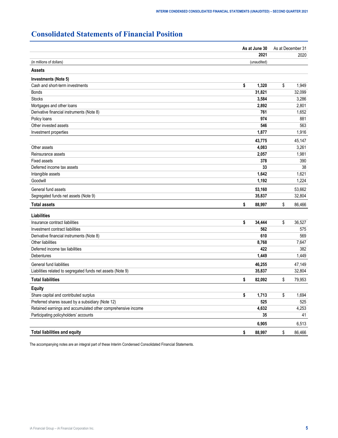# <span id="page-4-0"></span>**Consolidated Statements of Financial Position**

| 2021<br>2020<br>(in millions of dollars)<br>(unaudited)<br><b>Assets</b><br>Investments (Note 5)<br>\$<br>\$<br>Cash and short-term investments<br>1,320<br>1,949<br>31,821<br>32,099<br><b>Bonds</b><br><b>Stocks</b><br>3,584<br>3,286<br>Mortgages and other loans<br>2,892<br>2,801<br>Derivative financial instruments (Note 8)<br>761<br>1,652<br>Policy loans<br>974<br>881<br>Other invested assets<br>546<br>563<br>1,877<br>1,916<br>Investment properties<br>43,775<br>45,147<br>4,083<br>Other assets<br>3,261<br>Reinsurance assets<br>2,057<br>1,981<br><b>Fixed assets</b><br>378<br>390<br>38<br>Deferred income tax assets<br>33<br>Intangible assets<br>1,642<br>1,621<br>Goodwill<br>1,192<br>1,224<br>General fund assets<br>53,160<br>53,662<br>35,837<br>32,804<br>Segregated funds net assets (Note 9)<br><b>Total assets</b><br>\$<br>86,466<br>\$<br>88,997<br><b>Liabilities</b><br>\$<br>Insurance contract liabilities<br>\$<br>34,444<br>36,527<br>562<br>Investment contract liabilities<br>575<br>610<br>569<br>Derivative financial instruments (Note 8) |
|------------------------------------------------------------------------------------------------------------------------------------------------------------------------------------------------------------------------------------------------------------------------------------------------------------------------------------------------------------------------------------------------------------------------------------------------------------------------------------------------------------------------------------------------------------------------------------------------------------------------------------------------------------------------------------------------------------------------------------------------------------------------------------------------------------------------------------------------------------------------------------------------------------------------------------------------------------------------------------------------------------------------------------------------------------------------------------------|
|                                                                                                                                                                                                                                                                                                                                                                                                                                                                                                                                                                                                                                                                                                                                                                                                                                                                                                                                                                                                                                                                                          |
|                                                                                                                                                                                                                                                                                                                                                                                                                                                                                                                                                                                                                                                                                                                                                                                                                                                                                                                                                                                                                                                                                          |
|                                                                                                                                                                                                                                                                                                                                                                                                                                                                                                                                                                                                                                                                                                                                                                                                                                                                                                                                                                                                                                                                                          |
|                                                                                                                                                                                                                                                                                                                                                                                                                                                                                                                                                                                                                                                                                                                                                                                                                                                                                                                                                                                                                                                                                          |
|                                                                                                                                                                                                                                                                                                                                                                                                                                                                                                                                                                                                                                                                                                                                                                                                                                                                                                                                                                                                                                                                                          |
|                                                                                                                                                                                                                                                                                                                                                                                                                                                                                                                                                                                                                                                                                                                                                                                                                                                                                                                                                                                                                                                                                          |
|                                                                                                                                                                                                                                                                                                                                                                                                                                                                                                                                                                                                                                                                                                                                                                                                                                                                                                                                                                                                                                                                                          |
|                                                                                                                                                                                                                                                                                                                                                                                                                                                                                                                                                                                                                                                                                                                                                                                                                                                                                                                                                                                                                                                                                          |
|                                                                                                                                                                                                                                                                                                                                                                                                                                                                                                                                                                                                                                                                                                                                                                                                                                                                                                                                                                                                                                                                                          |
|                                                                                                                                                                                                                                                                                                                                                                                                                                                                                                                                                                                                                                                                                                                                                                                                                                                                                                                                                                                                                                                                                          |
|                                                                                                                                                                                                                                                                                                                                                                                                                                                                                                                                                                                                                                                                                                                                                                                                                                                                                                                                                                                                                                                                                          |
|                                                                                                                                                                                                                                                                                                                                                                                                                                                                                                                                                                                                                                                                                                                                                                                                                                                                                                                                                                                                                                                                                          |
|                                                                                                                                                                                                                                                                                                                                                                                                                                                                                                                                                                                                                                                                                                                                                                                                                                                                                                                                                                                                                                                                                          |
|                                                                                                                                                                                                                                                                                                                                                                                                                                                                                                                                                                                                                                                                                                                                                                                                                                                                                                                                                                                                                                                                                          |
|                                                                                                                                                                                                                                                                                                                                                                                                                                                                                                                                                                                                                                                                                                                                                                                                                                                                                                                                                                                                                                                                                          |
|                                                                                                                                                                                                                                                                                                                                                                                                                                                                                                                                                                                                                                                                                                                                                                                                                                                                                                                                                                                                                                                                                          |
|                                                                                                                                                                                                                                                                                                                                                                                                                                                                                                                                                                                                                                                                                                                                                                                                                                                                                                                                                                                                                                                                                          |
|                                                                                                                                                                                                                                                                                                                                                                                                                                                                                                                                                                                                                                                                                                                                                                                                                                                                                                                                                                                                                                                                                          |
|                                                                                                                                                                                                                                                                                                                                                                                                                                                                                                                                                                                                                                                                                                                                                                                                                                                                                                                                                                                                                                                                                          |
|                                                                                                                                                                                                                                                                                                                                                                                                                                                                                                                                                                                                                                                                                                                                                                                                                                                                                                                                                                                                                                                                                          |
|                                                                                                                                                                                                                                                                                                                                                                                                                                                                                                                                                                                                                                                                                                                                                                                                                                                                                                                                                                                                                                                                                          |
|                                                                                                                                                                                                                                                                                                                                                                                                                                                                                                                                                                                                                                                                                                                                                                                                                                                                                                                                                                                                                                                                                          |
|                                                                                                                                                                                                                                                                                                                                                                                                                                                                                                                                                                                                                                                                                                                                                                                                                                                                                                                                                                                                                                                                                          |
|                                                                                                                                                                                                                                                                                                                                                                                                                                                                                                                                                                                                                                                                                                                                                                                                                                                                                                                                                                                                                                                                                          |
|                                                                                                                                                                                                                                                                                                                                                                                                                                                                                                                                                                                                                                                                                                                                                                                                                                                                                                                                                                                                                                                                                          |
|                                                                                                                                                                                                                                                                                                                                                                                                                                                                                                                                                                                                                                                                                                                                                                                                                                                                                                                                                                                                                                                                                          |
| Other liabilities<br>8,768<br>7,647                                                                                                                                                                                                                                                                                                                                                                                                                                                                                                                                                                                                                                                                                                                                                                                                                                                                                                                                                                                                                                                      |
| Deferred income tax liabilities<br>422<br>382                                                                                                                                                                                                                                                                                                                                                                                                                                                                                                                                                                                                                                                                                                                                                                                                                                                                                                                                                                                                                                            |
| 1,449<br>1,449<br>Debentures                                                                                                                                                                                                                                                                                                                                                                                                                                                                                                                                                                                                                                                                                                                                                                                                                                                                                                                                                                                                                                                             |
| General fund liabilities<br>46,255<br>47,149                                                                                                                                                                                                                                                                                                                                                                                                                                                                                                                                                                                                                                                                                                                                                                                                                                                                                                                                                                                                                                             |
| Liabilities related to segregated funds net assets (Note 9)<br>32,804<br>35,837                                                                                                                                                                                                                                                                                                                                                                                                                                                                                                                                                                                                                                                                                                                                                                                                                                                                                                                                                                                                          |
| \$<br><b>Total liabilities</b><br>\$<br>82,092<br>79,953                                                                                                                                                                                                                                                                                                                                                                                                                                                                                                                                                                                                                                                                                                                                                                                                                                                                                                                                                                                                                                 |
| <b>Equity</b>                                                                                                                                                                                                                                                                                                                                                                                                                                                                                                                                                                                                                                                                                                                                                                                                                                                                                                                                                                                                                                                                            |
| 1,713<br>\$<br>1,694<br>Share capital and contributed surplus<br>\$                                                                                                                                                                                                                                                                                                                                                                                                                                                                                                                                                                                                                                                                                                                                                                                                                                                                                                                                                                                                                      |
| 525<br>Preferred shares issued by a subsidiary (Note 12)<br>525                                                                                                                                                                                                                                                                                                                                                                                                                                                                                                                                                                                                                                                                                                                                                                                                                                                                                                                                                                                                                          |
| Retained earnings and accumulated other comprehensive income<br>4,632<br>4,253                                                                                                                                                                                                                                                                                                                                                                                                                                                                                                                                                                                                                                                                                                                                                                                                                                                                                                                                                                                                           |
| Participating policyholders' accounts<br>41<br>35                                                                                                                                                                                                                                                                                                                                                                                                                                                                                                                                                                                                                                                                                                                                                                                                                                                                                                                                                                                                                                        |
| 6,905<br>6,513                                                                                                                                                                                                                                                                                                                                                                                                                                                                                                                                                                                                                                                                                                                                                                                                                                                                                                                                                                                                                                                                           |
| \$<br><b>Total liabilities and equity</b><br>\$<br>86,466<br>88,997                                                                                                                                                                                                                                                                                                                                                                                                                                                                                                                                                                                                                                                                                                                                                                                                                                                                                                                                                                                                                      |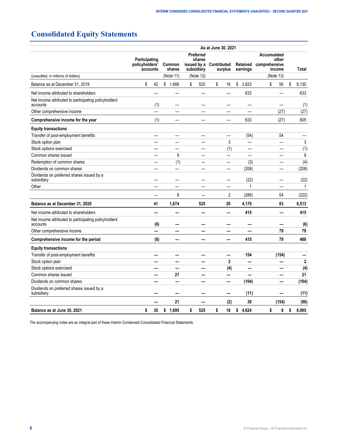# <span id="page-5-0"></span>**Consolidated Equity Statements**

|                                                                   | As at June 30, 2021                                             |     |             |                                          |                                    |    |                      |                                                 |           |              |  |  |  |
|-------------------------------------------------------------------|-----------------------------------------------------------------|-----|-------------|------------------------------------------|------------------------------------|----|----------------------|-------------------------------------------------|-----------|--------------|--|--|--|
|                                                                   | Participating<br>policyholders'<br>Common<br>accounts<br>shares |     |             | <b>Preferred</b><br>shares<br>subsidiary | issued by a Contributed<br>surplus |    | Retained<br>earnings | Accumulated<br>other<br>comprehensive<br>income | Total     |              |  |  |  |
| (unaudited, in millions of dollars)                               |                                                                 |     | (Note 11)   |                                          | (Note 12)                          |    |                      |                                                 | (Note 13) |              |  |  |  |
| Balance as at December 31, 2019                                   | \$                                                              | 42  | \$1,666     | \$                                       | 525                                | \$ | 18                   | \$<br>3,823                                     | \$<br>56  | \$<br>6,130  |  |  |  |
| Net income attributed to shareholders                             |                                                                 |     |             |                                          |                                    |    | ÷,                   | 633                                             |           | 633          |  |  |  |
| Net income attributed to participating policyholders'<br>accounts |                                                                 | (1) |             |                                          |                                    |    |                      |                                                 |           | (1)          |  |  |  |
| Other comprehensive income                                        |                                                                 |     |             |                                          |                                    |    |                      |                                                 | (27)      | (27)         |  |  |  |
| Comprehensive income for the year                                 |                                                                 | (1) |             |                                          |                                    |    |                      | 633                                             | (27)      | 605          |  |  |  |
| <b>Equity transactions</b>                                        |                                                                 |     |             |                                          |                                    |    |                      |                                                 |           |              |  |  |  |
| Transfer of post-employment benefits                              |                                                                 |     |             |                                          |                                    |    |                      | (54)                                            | 54        |              |  |  |  |
| Stock option plan                                                 |                                                                 |     |             |                                          |                                    |    | 3                    | $\overline{\phantom{0}}$                        | —         | 3            |  |  |  |
| Stock options exercised                                           |                                                                 |     |             |                                          |                                    |    | (1)                  |                                                 |           | (1)          |  |  |  |
| Common shares issued                                              |                                                                 |     | 9           |                                          |                                    |    |                      |                                                 |           | 9            |  |  |  |
| Redemption of common shares                                       |                                                                 |     | (1)         |                                          |                                    |    |                      | (3)                                             |           | (4)          |  |  |  |
| Dividends on common shares                                        |                                                                 |     |             |                                          |                                    |    |                      | (208)                                           |           | (208)        |  |  |  |
| Dividends on preferred shares issued by a<br>subsidiary           |                                                                 |     |             |                                          |                                    |    |                      | (22)                                            |           | (22)         |  |  |  |
| Other                                                             |                                                                 |     |             |                                          |                                    |    |                      | $\mathbf{1}$                                    |           | $\mathbf{1}$ |  |  |  |
|                                                                   |                                                                 |     | 8           |                                          |                                    |    | $\overline{c}$       | (286)                                           | 54        | (222)        |  |  |  |
| Balance as at December 31, 2020                                   |                                                                 | 41  | 1,674       |                                          | 525                                |    | 20                   | 4,170                                           | 83        | 6,513        |  |  |  |
| Net income attributed to shareholders                             |                                                                 |     |             |                                          |                                    |    |                      | 415                                             |           | 415          |  |  |  |
| Net income attributed to participating policyholders'<br>accounts |                                                                 | (6) |             |                                          |                                    |    |                      |                                                 |           | (6)          |  |  |  |
| Other comprehensive income                                        |                                                                 |     |             |                                          |                                    |    |                      |                                                 | 79        | 79           |  |  |  |
| Comprehensive income for the period                               |                                                                 | (6) |             |                                          |                                    |    |                      | 415                                             | 79        | 488          |  |  |  |
| <b>Equity transactions</b>                                        |                                                                 |     |             |                                          |                                    |    |                      |                                                 |           |              |  |  |  |
| Transfer of post-employment benefits                              |                                                                 |     |             |                                          |                                    |    |                      | 154                                             | (154)     |              |  |  |  |
| Stock option plan                                                 |                                                                 |     |             |                                          |                                    |    | $\overline{2}$       | —                                               | —         | $\mathbf{2}$ |  |  |  |
| Stock options exercised                                           |                                                                 |     |             |                                          |                                    |    | (4)                  | $\overline{\phantom{0}}$                        |           | (4)          |  |  |  |
| Common shares issued                                              |                                                                 |     | 21          |                                          |                                    |    |                      | ÷.                                              | ▃         | 21           |  |  |  |
| Dividends on common shares                                        |                                                                 |     |             |                                          |                                    |    | —                    | (104)                                           |           | (104)        |  |  |  |
| Dividends on preferred shares issued by a<br>subsidiary           |                                                                 |     |             |                                          |                                    |    |                      | (11)                                            |           | (11)         |  |  |  |
|                                                                   |                                                                 |     | 21          |                                          |                                    |    | (2)                  | 39                                              | (154)     | (96)         |  |  |  |
| Balance as at June 30, 2021                                       | \$                                                              | 35  | \$<br>1,695 | \$                                       | 525                                | \$ | 18                   | 4,624<br>\$                                     | \$<br>8   | 6,905<br>\$  |  |  |  |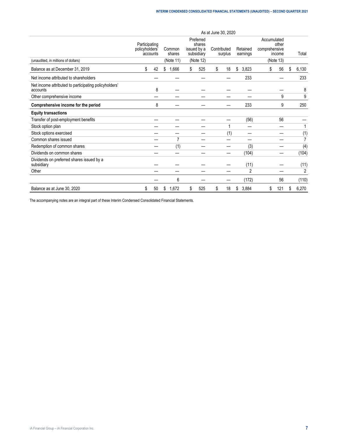|                                                                   | As at June 30, 2020                         |    |                               |                                                               |     |                        |     |    |                      |                                                              |     |    |       |
|-------------------------------------------------------------------|---------------------------------------------|----|-------------------------------|---------------------------------------------------------------|-----|------------------------|-----|----|----------------------|--------------------------------------------------------------|-----|----|-------|
| (unaudited, in millions of dollars)                               | Participating<br>policyholders'<br>accounts |    | Common<br>shares<br>(Note 11) | Preferred<br>shares<br>issued by a<br>subsidiary<br>(Note 12) |     | Contributed<br>surplus |     |    | Retained<br>earnings | Accumulated<br>other<br>comprehensive<br>income<br>(Note 13) |     |    | Total |
| Balance as at December 31, 2019                                   | \$                                          | 42 | \$<br>1,666                   | \$                                                            | 525 | \$                     | 18  | \$ | 3,823                | \$                                                           | 56  | \$ | 6,130 |
| Net income attributed to shareholders                             |                                             |    |                               |                                                               |     |                        |     |    | 233                  |                                                              |     |    | 233   |
| Net income attributed to participating policyholders'<br>accounts |                                             | 8  |                               |                                                               |     |                        |     |    |                      |                                                              |     |    | 8     |
| Other comprehensive income                                        |                                             |    |                               |                                                               |     |                        |     |    |                      |                                                              | 9   |    | 9     |
| Comprehensive income for the period                               |                                             | 8  |                               |                                                               |     |                        |     |    | 233                  |                                                              | 9   |    | 250   |
| <b>Equity transactions</b>                                        |                                             |    |                               |                                                               |     |                        |     |    |                      |                                                              |     |    |       |
| Transfer of post-employment benefits                              |                                             |    |                               |                                                               |     |                        |     |    | (56)                 |                                                              | 56  |    |       |
| Stock option plan                                                 |                                             |    |                               |                                                               |     |                        | 1   |    |                      |                                                              |     |    |       |
| Stock options exercised                                           |                                             |    |                               |                                                               |     |                        | (1) |    |                      |                                                              |     |    | (1)   |
| Common shares issued                                              |                                             |    | 7                             |                                                               |     |                        |     |    |                      |                                                              |     |    | 7     |
| Redemption of common shares                                       |                                             |    | (1)                           |                                                               |     |                        |     |    | (3)                  |                                                              |     |    | (4)   |
| Dividends on common shares                                        |                                             |    |                               |                                                               |     |                        |     |    | (104)                |                                                              |     |    | (104) |
| Dividends on preferred shares issued by a<br>subsidiary           |                                             |    |                               |                                                               |     |                        |     |    | (11)                 |                                                              |     |    | (11)  |
| Other                                                             |                                             |    |                               |                                                               |     |                        |     |    | $\overline{2}$       |                                                              |     |    | 2     |
|                                                                   |                                             |    | 6                             |                                                               |     |                        |     |    | (172)                |                                                              | 56  |    | (110) |
| Balance as at June 30, 2020                                       | \$                                          | 50 | \$<br>1,672                   | \$                                                            | 525 | \$                     | 18  | \$ | 3,884                | \$                                                           | 121 | \$ | 6,270 |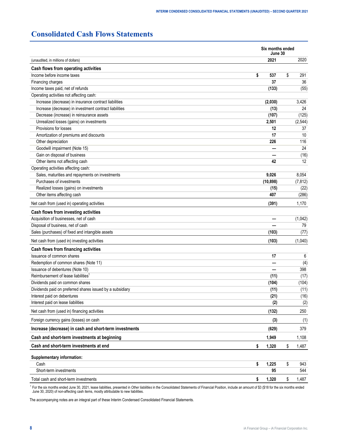# <span id="page-7-0"></span>**Consolidated Cash Flows Statements**

|                                                           | Six months ended<br>June 30 |             |
|-----------------------------------------------------------|-----------------------------|-------------|
| (unaudited, in millions of dollars)                       | 2021                        | 2020        |
| Cash flows from operating activities                      |                             |             |
| Income before income taxes                                | \$<br>537                   | \$<br>291   |
| Financing charges                                         | 37                          | 36          |
| Income taxes paid, net of refunds                         | (133)                       | (55)        |
| Operating activities not affecting cash:                  |                             |             |
| Increase (decrease) in insurance contract liabilities     | (2,030)                     | 3,426       |
| Increase (decrease) in investment contract liabilities    | (13)                        | 24          |
| Decrease (increase) in reinsurance assets                 | (107)                       | (125)       |
| Unrealized losses (gains) on investments                  | 2,501                       | (2, 544)    |
| Provisions for losses                                     | 12                          | 37          |
| Amortization of premiums and discounts                    | 17                          | 10          |
| Other depreciation                                        | 226                         | 116         |
| Goodwill impairment (Note 15)                             |                             | 24          |
| Gain on disposal of business                              |                             | (16)        |
| Other items not affecting cash                            | 42                          | 12          |
| Operating activities affecting cash:                      |                             |             |
| Sales, maturities and repayments on investments           | 9,026                       | 8,054       |
| Purchases of investments                                  | (10, 898)                   | (7, 812)    |
| Realized losses (gains) on investments                    | (15)                        | (22)        |
| Other items affecting cash                                | 407                         | (286)       |
| Net cash from (used in) operating activities              | (391)                       | 1,170       |
| Cash flows from investing activities                      |                             |             |
| Acquisition of businesses, net of cash                    |                             | (1,042)     |
| Disposal of business, net of cash                         |                             | 79          |
| Sales (purchases) of fixed and intangible assets          | (103)                       | (77)        |
| Net cash from (used in) investing activities              | (103)                       | (1,040)     |
| Cash flows from financing activities                      |                             |             |
| Issuance of common shares                                 | 17                          | 6           |
| Redemption of common shares (Note 11)                     |                             | (4)         |
| Issuance of debentures (Note 10)                          |                             | 398         |
| Reimbursement of lease liabilities <sup>1</sup>           | (11)                        | (17)        |
| Dividends paid on common shares                           | (104)                       | (104)       |
| Dividends paid on preferred shares issued by a subsidiary | (11)                        | (11)        |
| Interest paid on debentures                               | (21)                        | (16)        |
| Interest paid on lease liabilities                        | (2)                         | (2)         |
| Net cash from (used in) financing activities              | (132)                       | 250         |
| Foreign currency gains (losses) on cash                   | (3)                         | (1)         |
| Increase (decrease) in cash and short-term investments    | (629)                       | 379         |
| Cash and short-term investments at beginning              | 1,949                       | 1,108       |
| Cash and short-term investments at end                    | \$<br>1,320                 | \$<br>1,487 |
| Supplementary information:                                |                             |             |
| Cash                                                      | \$<br>1,225                 | \$<br>943   |
| Short-term investments                                    | 95                          | 544         |
| Total cash and short-term investments                     | \$<br>1,320                 | \$<br>1,487 |

<sup>1</sup> For the six months ended June 30, 2021, lease liabilities, presented in Ot*her liabilities* in the Consolidated Statements of Financial Position, include an amount of \$3 (\$18 for the six months ended<br>June 30, 2020) of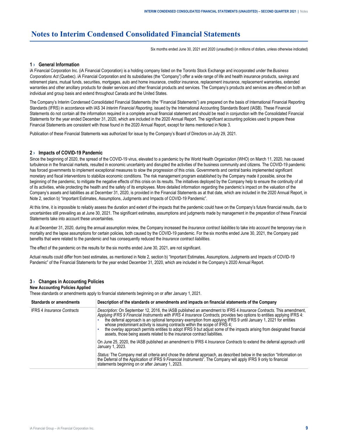# <span id="page-8-0"></span>**Notes to Interim Condensed Consolidated Financial Statements**

Six months ended June 30, 2021 and 2020 (unaudited) (in millions of dollars, unless otherwise indicated)

# **1 › General Information**

iA Financial Corporation Inc. (iA Financial Corporation) is a holding company listed on the Toronto Stock Exchange and incorporated under the *Business Corporations Act* (Quebec). iA Financial Corporation and its subsidiaries (the "Company") offer a wide range of life and health insurance products, savings and retirement plans, mutual funds, securities, mortgages, auto and home insurance, creditor insurance, replacement insurance, replacement warranties, extended warranties and other ancillary products for dealer services and other financial products and services. The Company's products and services are offered on both an individual and group basis and extend throughout Canada and the United States.

The Company's Interim Condensed Consolidated Financial Statements (the "Financial Statements") are prepared on the basis of International Financial Reporting Standards (IFRS) in accordance with IAS 34 *Interim Financial Reporting*, issued by the International Accounting Standards Board (IASB). These Financial Statements do not contain all the information required in a complete annual financial statement and should be read in conjunction with the Consolidated Financial Statements for the year ended December 31, 2020, which are included in the 2020 Annual Report. The significant accounting policies used to prepare these Financial Statements are consistent with those found in the 2020 Annual Report, except for items mentioned in Note 3.

Publication of these Financial Statements was authorized for issue by the Company's Board of Directors on July 29, 2021.

## **2 › Impacts of COVID-19 Pandemic**

Since the beginning of 2020, the spread of the COVID-19 virus, elevated to a pandemic by the World Health Organization (WHO) on March 11, 2020, has caused turbulence in the financial markets, resulted in economic uncertainty and disrupted the activities of the business community and citizens. The COVID-19 pandemic has forced governments to implement exceptional measures to slow the progression of this crisis. Governments and central banks implemented significant monetary and fiscal interventions to stabilize economic conditions. The risk management program established by the Company made it possible, since the beginning of the pandemic, to mitigate the negative effects of this crisis on its results. The initiatives deployed by the Company help to ensure the continuity of all of its activities, while protecting the health and the safety of its employees. More detailed information regarding the pandemic's impact on the valuation of the Company's assets and liabilities as at December 31, 2020, is provided in the Financial Statements as at that date, which are included in the 2020 Annual Report, in Note 2, section b) "Important Estimates, Assumptions, Judgments and Impacts of COVID-19 Pandemic".

At this time, it is impossible to reliably assess the duration and extent of the impacts that the pandemic could have on the Company's future financial results, due to uncertainties still prevailing as at June 30, 2021. The significant estimates, assumptions and judgments made by management in the preparation of these Financial Statements take into account these uncertainties.

As at December 31, 2020, during the annual assumption review, the Company increased the *Insurance contract liabilities* to take into account the temporary rise in mortality and the lapse assumptions for certain policies, both caused by the COVID-19 pandemic. For the six months ended June 30, 2021, the Company paid benefits that were related to the pandemic and has consequently reduced the *Insurance contract liabilities*.

The effect of the pandemic on the results for the six months ended June 30, 2021, are not significant.

Actual results could differ from best estimates, as mentioned in Note 2, section b) "Important Estimates, Assumptions, Judgments and Impacts of COVID-19 Pandemic" of the Financial Statements for the year ended December 31, 2020, which are included in the Company's 2020 Annual Report.

#### **3 › Changes in Accounting Policies**

#### **New Accounting Policies Applied**

These standards or amendments apply to financial statements beginning on or after January 1, 2021.

| <b>Standards or amendments</b>    | Description of the standards or amendments and impacts on financial statements of the Company                                                                                                                                                                                                                                                                                                                                                                                                                                                                                                                                                            |
|-----------------------------------|----------------------------------------------------------------------------------------------------------------------------------------------------------------------------------------------------------------------------------------------------------------------------------------------------------------------------------------------------------------------------------------------------------------------------------------------------------------------------------------------------------------------------------------------------------------------------------------------------------------------------------------------------------|
| <b>IFRS 4 Insurance Contracts</b> | Description: On September 12, 2016, the IASB published an amendment to IFRS 4 Insurance Contracts. This amendment,<br>Applying IFRS 9 Financial Instruments with IFRS 4 Insurance Contracts, provides two options to entities applying IFRS 4:<br>the deferral approach is an optional temporary exemption from applying IFRS 9 until January 1, 2021 for entities<br>whose predominant activity is issuing contracts within the scope of IFRS 4;<br>the overlay approach permits entities to adopt IFRS 9 but adjust some of the impacts arising from designated financial<br>assets, those being assets related to the insurance contract liabilities. |
|                                   | On June 25, 2020, the IASB published an amendment to IFRS 4 <i>Insurance Contracts</i> to extend the deferral approach until<br>January 1, 2023.                                                                                                                                                                                                                                                                                                                                                                                                                                                                                                         |
|                                   | Status: The Company met all criteria and chose the deferral approach, as described below in the section "Information on<br>the Deferral of the Application of IFRS 9 Financial Instruments". The Company will apply IFRS 9 only to financial<br>statements beginning on or after January 1, 2023.                                                                                                                                                                                                                                                                                                                                                        |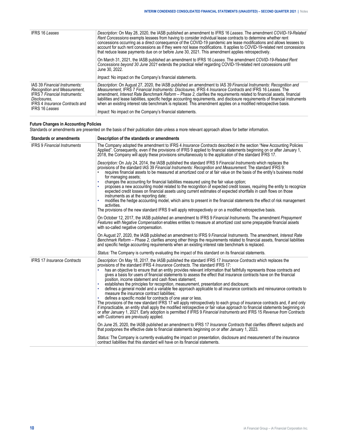| <b>IFRS 16 Leases</b>                                                                                                                                                                   | Description: On May 28, 2020, the IASB published an amendment to IFRS 16 Leases. The amendment COVID-19-Related<br>Rent Concessions exempts lessees from having to consider individual lease contracts to determine whether rent<br>concessions occurring as a direct consequence of the COVID-19 pandemic are lease modifications and allows lessees to<br>account for such rent concessions as if they were not lease modifications. It applies to COVID-19-related rent concessions<br>that reduce lease payments due on or before June 30, 2021. This amendment applies retrospectively.<br>On March 31, 2021, the IASB published an amendment to IFRS 16 Leases. The amendment COVID-19-Related Rent<br>Concessions beyond 30 June 2021 extends the practical relief regarding COVID-19-related rent concessions until<br>June 30, 2022. |  |  |  |  |  |  |  |
|-----------------------------------------------------------------------------------------------------------------------------------------------------------------------------------------|-----------------------------------------------------------------------------------------------------------------------------------------------------------------------------------------------------------------------------------------------------------------------------------------------------------------------------------------------------------------------------------------------------------------------------------------------------------------------------------------------------------------------------------------------------------------------------------------------------------------------------------------------------------------------------------------------------------------------------------------------------------------------------------------------------------------------------------------------|--|--|--|--|--|--|--|
|                                                                                                                                                                                         | <i>Impact:</i> No impact on the Company's financial statements.                                                                                                                                                                                                                                                                                                                                                                                                                                                                                                                                                                                                                                                                                                                                                                               |  |  |  |  |  |  |  |
| IAS 39 Financial Instruments:<br>Recognition and Measurement.<br><b>IFRS 7 Financial Instruments:</b><br>Disclosures.<br><b>IFRS 4 Insurance Contracts and</b><br><b>IFRS 16 Leases</b> | Description: On August 27, 2020, the IASB published an amendment to IAS 39 Financial Instruments: Recognition and<br>Measurement, IFRS 7 Financial Instruments: Disclosures, IFRS 4 Insurance Contracts and IFRS 16 Leases. The<br>amendment, Interest Rate Benchmark Reform - Phase 2, clarifies the requirements related to financial assets, financial<br>liabilities and lease liabilities, specific hedge accounting requirements, and disclosure requirements of financial instruments<br>when an existing interest rate benchmark is replaced. This amendment applies on a modified retrospective basis.<br><i>Impact:</i> No impact on the Company's financial statements.                                                                                                                                                            |  |  |  |  |  |  |  |

## **Future Changes in Accounting Policies**

Standards or amendments are presented on the basis of their publication date unless a more relevant approach allows for better information.

| <b>Standards or amendments</b>      | Description of the standards or amendments                                                                                                                                                                                                                                                                                                                                                                                                                                                                                                                                                                                                                                                                                                                                                                                                                                                                                                                                                                                                                                                                                                                                                                                                                                    |  |  |  |  |  |  |  |
|-------------------------------------|-------------------------------------------------------------------------------------------------------------------------------------------------------------------------------------------------------------------------------------------------------------------------------------------------------------------------------------------------------------------------------------------------------------------------------------------------------------------------------------------------------------------------------------------------------------------------------------------------------------------------------------------------------------------------------------------------------------------------------------------------------------------------------------------------------------------------------------------------------------------------------------------------------------------------------------------------------------------------------------------------------------------------------------------------------------------------------------------------------------------------------------------------------------------------------------------------------------------------------------------------------------------------------|--|--|--|--|--|--|--|
| <b>IFRS 9 Financial Instruments</b> | The Company adopted the amendment to IFRS 4 Insurance Contracts described in the section "New Accounting Policies<br>Applied". Consequently, even if the provisions of IFRS 9 applied to financial statements beginning on or after January 1,<br>2018, the Company will apply these provisions simultaneously to the application of the standard IFRS 17.                                                                                                                                                                                                                                                                                                                                                                                                                                                                                                                                                                                                                                                                                                                                                                                                                                                                                                                    |  |  |  |  |  |  |  |
|                                     | Description: On July 24, 2014, the IASB published the standard IFRS 9 Financial Instruments which replaces the<br>provisions of the standard IAS 39 Financial Instruments: Recognition and Measurement. The standard IFRS 9:<br>requires financial assets to be measured at amortized cost or at fair value on the basis of the entity's business model<br>for managing assets;<br>changes the accounting for financial liabilities measured using the fair value option;<br>proposes a new accounting model related to the recognition of expected credit losses, requiring the entity to recognize<br>expected credit losses on financial assets using current estimates of expected shortfalls in cash flows on those<br>instruments as at the reporting date;<br>modifies the hedge accounting model, which aims to present in the financial statements the effect of risk management<br>activities.<br>The provisions of the new standard IFRS 9 will apply retrospectively or on a modified retrospective basis.<br>On October 12, 2017, the IASB published an amendment to IFRS 9 Financial Instruments. The amendment Prepayment                                                                                                                                      |  |  |  |  |  |  |  |
|                                     | Features with Negative Compensation enables entities to measure at amortized cost some prepayable financial assets<br>with so-called negative compensation.                                                                                                                                                                                                                                                                                                                                                                                                                                                                                                                                                                                                                                                                                                                                                                                                                                                                                                                                                                                                                                                                                                                   |  |  |  |  |  |  |  |
|                                     | On August 27, 2020, the IASB published an amendment to IFRS 9 Financial Instruments. The amendment, Interest Rate<br>Benchmark Reform – Phase 2, clarifies among other things the requirements related to financial assets, financial liabilities<br>and specific hedge accounting requirements when an existing interest rate benchmark is replaced.                                                                                                                                                                                                                                                                                                                                                                                                                                                                                                                                                                                                                                                                                                                                                                                                                                                                                                                         |  |  |  |  |  |  |  |
|                                     | Status: The Company is currently evaluating the impact of this standard on its financial statements.                                                                                                                                                                                                                                                                                                                                                                                                                                                                                                                                                                                                                                                                                                                                                                                                                                                                                                                                                                                                                                                                                                                                                                          |  |  |  |  |  |  |  |
| <b>IFRS 17 Insurance Contracts</b>  | Description: On May 18, 2017, the IASB published the standard IFRS 17 Insurance Contracts which replaces the<br>provisions of the standard IFRS 4 Insurance Contracts. The standard IFRS 17:<br>has an objective to ensure that an entity provides relevant information that faithfully represents those contracts and<br>gives a basis for users of financial statements to assess the effect that insurance contracts have on the financial<br>position, income statement and cash flows statement;<br>establishes the principles for recognition, measurement, presentation and disclosure;<br>defines a general model and a variable fee approach applicable to all insurance contracts and reinsurance contracts to<br>measure the insurance contract liabilities;<br>defines a specific model for contracts of one year or less.<br>The provisions of the new standard IFRS 17 will apply retrospectively to each group of insurance contracts and, if and only<br>if impracticable, an entity shall apply the modified retrospective or fair value approach to financial statements beginning on<br>or after January 1, 2021. Early adoption is permitted if IFRS 9 Financial Instruments and IFRS 15 Revenue from Contracts<br>with Customers are previously applied. |  |  |  |  |  |  |  |
|                                     | On June 25, 2020, the IASB published an amendment to IFRS 17 Insurance Contracts that clarifies different subjects and<br>that postpones the effective date to financial statements beginning on or after January 1, 2023.                                                                                                                                                                                                                                                                                                                                                                                                                                                                                                                                                                                                                                                                                                                                                                                                                                                                                                                                                                                                                                                    |  |  |  |  |  |  |  |
|                                     | Status: The Company is currently evaluating the impact on presentation, disclosure and measurement of the insurance<br>contract liabilities that this standard will have on its financial statements.                                                                                                                                                                                                                                                                                                                                                                                                                                                                                                                                                                                                                                                                                                                                                                                                                                                                                                                                                                                                                                                                         |  |  |  |  |  |  |  |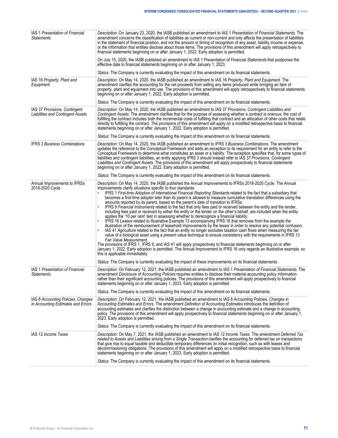| IAS 1 Presentation of Financial<br><b>Statements</b>                      | Description: On January 23, 2020, the IASB published an amendment to IAS 1 Presentation of Financial Statements. The<br>amendment concerns the classification of liabilities as current or non-current and only affects the presentation of liabilities<br>in the statement of financial position, and not the amount or timing of recognition of any asset, liability income or expense,<br>or the information that entities disclose about those items. The provisions of this amendment will apply retrospectively to<br>financial statements beginning on or after January 1, 2022. Early adoption is permitted.<br>On July 15, 2020, the IASB published an amendment to IAS 1 Presentation of Financial Statements that postpones the<br>effective date to financial statements beginning on or after January 1, 2023.<br>Status: The Company is currently evaluating the impact of this amendment on its financial statements.                                                                                                                                                                                                                                                                                                                                                                                                                                                                                                                                                                                                                                                                                                                                                                                                                                                |
|---------------------------------------------------------------------------|-------------------------------------------------------------------------------------------------------------------------------------------------------------------------------------------------------------------------------------------------------------------------------------------------------------------------------------------------------------------------------------------------------------------------------------------------------------------------------------------------------------------------------------------------------------------------------------------------------------------------------------------------------------------------------------------------------------------------------------------------------------------------------------------------------------------------------------------------------------------------------------------------------------------------------------------------------------------------------------------------------------------------------------------------------------------------------------------------------------------------------------------------------------------------------------------------------------------------------------------------------------------------------------------------------------------------------------------------------------------------------------------------------------------------------------------------------------------------------------------------------------------------------------------------------------------------------------------------------------------------------------------------------------------------------------------------------------------------------------------------------------------------------------|
| IAS 16 Property, Plant and<br>Equipment                                   | Description: On May 14, 2020, the IASB published an amendment to IAS 16 Property, Plant and Equipment. The<br>amendment clarifies the accounting for the net proceeds from selling any items produced while bringing an item of<br>property, plant and equipment into use. The provisions of this amendment will apply retrospectively to financial statements<br>beginning on or after January 1, 2022. Early adoption is permitted.                                                                                                                                                                                                                                                                                                                                                                                                                                                                                                                                                                                                                                                                                                                                                                                                                                                                                                                                                                                                                                                                                                                                                                                                                                                                                                                                               |
|                                                                           | Status: The Company is currently evaluating the impact of this amendment on its financial statements.                                                                                                                                                                                                                                                                                                                                                                                                                                                                                                                                                                                                                                                                                                                                                                                                                                                                                                                                                                                                                                                                                                                                                                                                                                                                                                                                                                                                                                                                                                                                                                                                                                                                               |
| IAS 37 Provisions, Contingent<br><b>Liabilities and Contingent Assets</b> | Description: On May 14, 2020, the IASB published an amendment to IAS 37 Provisions, Contingent Liabilities and<br>Contingent Assets. The amendment clarifies that for the purpose of assessing whether a contract is onerous, the cost of<br>fulfilling the contract includes both the incremental costs of fulfilling that contract and an allocation of other costs that relate<br>directly to fulfilling the contract. The provisions of this amendment will apply on a modified retrospective basis to financial<br>statements beginning on or after January 1, 2022. Early adoption is permitted.                                                                                                                                                                                                                                                                                                                                                                                                                                                                                                                                                                                                                                                                                                                                                                                                                                                                                                                                                                                                                                                                                                                                                                              |
|                                                                           | Status: The Company is currently evaluating the impact of this amendment on its financial statements.                                                                                                                                                                                                                                                                                                                                                                                                                                                                                                                                                                                                                                                                                                                                                                                                                                                                                                                                                                                                                                                                                                                                                                                                                                                                                                                                                                                                                                                                                                                                                                                                                                                                               |
| <b>IFRS 3 Business Combinations</b>                                       | Description: On May 14, 2020, the IASB published an amendment to IFRS 3 Business Combinations. The amendment<br>updates the reference to the Conceptual Framework and adds an exception to its requirement for an entity to refer to the<br>Conceptual Framework to determine what constitutes an asset or a liability. The exception specifies that, for some types of<br>liabilities and contingent liabilities, an entity applying IFRS 3 should instead refer to IAS 37 Provisions, Contingent<br>Liabilities and Contingent Assets. The provisions of this amendment will apply prospectively to financial statements<br>beginning on or after January 1, 2022. Early adoption is permitted.                                                                                                                                                                                                                                                                                                                                                                                                                                                                                                                                                                                                                                                                                                                                                                                                                                                                                                                                                                                                                                                                                   |
|                                                                           | Status: The Company is currently evaluating the impact of this amendment on its financial statements.                                                                                                                                                                                                                                                                                                                                                                                                                                                                                                                                                                                                                                                                                                                                                                                                                                                                                                                                                                                                                                                                                                                                                                                                                                                                                                                                                                                                                                                                                                                                                                                                                                                                               |
| Annual Improvements to IFRSs<br>2018-2020 Cycle                           | Description: On May 14, 2020, the IASB published the Annual Improvements to IFRSs 2018-2020 Cycle. The Annual<br>Improvements clarify situations specific to four standards:<br>IFRS 1 First-time Adoption of International Financial Reporting Standards related to the fact that a subsidiary that<br>becomes a first-time adopter later than its parent is allowed to measure cumulative translation differences using the<br>amounts reported by its parent, based on the parent's date of transition to IFRSs;<br>IFRS 9 Financial Instruments related to the fact that only fees paid or received between the entity and the lender,<br>including fees paid or received by either the entity or the lender on the other's behalf, are included when the entity<br>applies the '10 per cent' test in assessing whether to derecognize a financial liability;<br>IFRS 16 Leases related to Illustrative Example 13 accompanying IFRS 16 that removes from the example the<br>illustration of the reimbursement of leasehold improvements by the lessor in order to resolve any potential confusion;<br>IAS 41 Agriculture related to the fact that an entity no longer excludes taxation cash flows when measuring the fair<br>value of a biological asset using a present value technique to ensure consistency with the requirements in IFRS 13<br>Fair Value Measurement.<br>The provisions of IFRS 1, IFRS 9, and IAS 41 will apply prospectively to financial statements beginning on or after<br>January 1, 2022. Early adoption is permitted. The Annual Improvement to IFRS 16 only regards an illustrative example, so<br>this is applicable immediately.<br>Status: The Company is currently evaluating the impact of these improvements on its financial statements. |
| IAS 1 Presentation of Financial<br><b>Statements</b>                      | Description: On February 12, 2021, the IASB published an amendment to IAS 1 Presentation of Financial Statements. The<br>amendment Disclosure of Accounting Policies requires entities to disclose their material accounting policy information<br>rather than their significant accounting policies. The provisions of this amendment will apply prospectively to financial<br>statements beginning on or after January 1, 2023. Early adoption is permitted.                                                                                                                                                                                                                                                                                                                                                                                                                                                                                                                                                                                                                                                                                                                                                                                                                                                                                                                                                                                                                                                                                                                                                                                                                                                                                                                      |
|                                                                           | Status: The Company is currently evaluating the impact of this amendment on its financial statements.                                                                                                                                                                                                                                                                                                                                                                                                                                                                                                                                                                                                                                                                                                                                                                                                                                                                                                                                                                                                                                                                                                                                                                                                                                                                                                                                                                                                                                                                                                                                                                                                                                                                               |
| IAS 8 Accounting Policies, Changes<br>in Accounting Estimates and Errors  | Description: On February 12, 2021, the IASB published an amendment to IAS 8 Accounting Policies, Changes in<br>Accounting Estimates and Errors. The amendment Definition of Accounting Estimates introduces the definition of<br>accounting estimates and clarifies the distinction between a change in accounting estimate and a change in accounting<br>policy. The provisions of this amendment will apply prospectively to financial statements beginning on or after January 1,<br>2023. Early adoption is permitted.<br>Status: The Company is currently evaluating the impact of this amendment on its financial statements.                                                                                                                                                                                                                                                                                                                                                                                                                                                                                                                                                                                                                                                                                                                                                                                                                                                                                                                                                                                                                                                                                                                                                 |
| IAS 12 Income Taxes                                                       | Description: On May 7, 2021, the IASB published an amendment to IAS 12 Income Taxes. The amendment Deferred Tax<br>related to Assets and Liabilities arising from a Single Transaction clarifies the accounting for deferred tax on transactions<br>that give rise to equal taxable and deductible temporary differences on initial recognition, such as with leases and<br>decommissioning obligations. The provisions of this amendment will apply on a modified retrospective basis to financial<br>statements beginning on or after January 1, 2023. Early adoption is permitted.<br>Status: The Company is currently evaluating the impact of this amendment on its financial statements.                                                                                                                                                                                                                                                                                                                                                                                                                                                                                                                                                                                                                                                                                                                                                                                                                                                                                                                                                                                                                                                                                      |
|                                                                           |                                                                                                                                                                                                                                                                                                                                                                                                                                                                                                                                                                                                                                                                                                                                                                                                                                                                                                                                                                                                                                                                                                                                                                                                                                                                                                                                                                                                                                                                                                                                                                                                                                                                                                                                                                                     |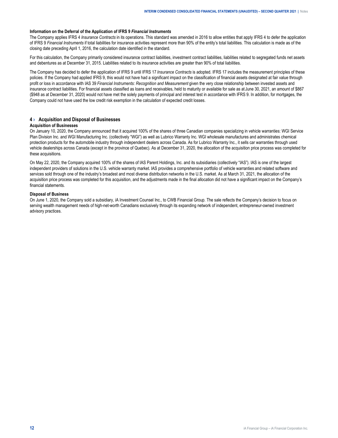#### <span id="page-11-0"></span>**Information on the Deferral of the Application of IFRS 9** *Financial Instruments*

The Company applies IFRS 4 *Insurance Contracts* in its operations. This standard was amended in 2016 to allow entities that apply IFRS 4 to defer the application of IFRS 9 *Financial Instruments* if total liabilities for insurance activities represent more than 90% of the entity's total liabilities. This calculation is made as of the closing date preceding April 1, 2016, the calculation date identified in the standard.

For this calculation, the Company primarily considered insurance contract liabilities, investment contract liabilities, liabilities related to segregated funds net assets and debentures as at December 31, 2015. Liabilities related to its insurance activities are greater than 90% of total liabilities.

The Company has decided to defer the application of IFRS 9 until IFRS 17 *Insurance Contracts* is adopted. IFRS 17 includes the measurement principles of these policies. If the Company had applied IFRS 9, this would not have had a significant impact on the classification of financial assets designated at fair value through profit or loss in accordance with IAS 39 *Financial Instruments: Recognition and Measurement* given the very close relationship between invested assets and insurance contract liabilities. For financial assets classified as loans and receivables, held to maturity or available for sale as at June 30, 2021, an amount of \$867 (\$948 as at December 31, 2020) would not have met the solely payments of principal and interest test in accordance with IFRS 9. In addition, for mortgages, the Company could not have used the low credit risk exemption in the calculation of expected credit losses.

#### **4 › Acquisition and Disposal of Businesses**

#### **Acquisition of Businesses**

On January 10, 2020, the Company announced that it acquired 100% of the shares of three Canadian companies specializing in vehicle warranties: WGI Service Plan Division Inc. and WGI Manufacturing Inc. (collectively "WGI") as well as Lubrico Warranty Inc. WGI wholesale manufactures and administrates chemical protection products for the automobile industry through independent dealers across Canada. As for Lubrico Warranty Inc., it sells car warranties through used vehicle dealerships across Canada (except in the province of Quebec). As at December 31, 2020, the allocation of the acquisition price process was completed for these acquisitions.

On May 22, 2020, the Company acquired 100% of the shares of IAS Parent Holdings, Inc. and its subsidiaries (collectively "IAS"). IAS is one of the largest independent providers of solutions in the U.S. vehicle warranty market. IAS provides a comprehensive portfolio of vehicle warranties and related software and services sold through one of the industry's broadest and most diverse distribution networks in the U.S. market. As at March 31, 2021, the allocation of the acquisition price process was completed for this acquisition, and the adjustments made in the final allocation did not have a significant impact on the Company's financial statements.

#### **Disposal of Business**

On June 1, 2020, the Company sold a subsidiary, iA Investment Counsel Inc., to CWB Financial Group. The sale reflects the Company's decision to focus on serving wealth management needs of high-net-worth Canadians exclusively through its expanding network of independent, entrepreneur-owned investment advisory practices.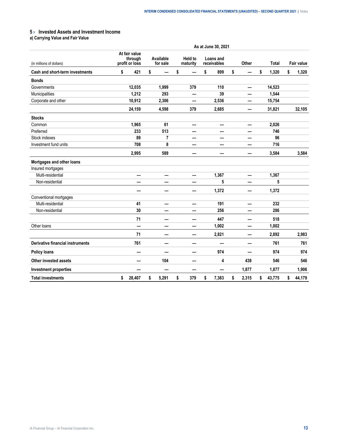# <span id="page-12-0"></span>**5 › Invested Assets and Investment Income**

**a) Carrying Value and Fair Value**

|                                         | As at June 30, 2021                        |    |                       |    |                            |    |                          |    |       |    |              |    |                   |  |
|-----------------------------------------|--------------------------------------------|----|-----------------------|----|----------------------------|----|--------------------------|----|-------|----|--------------|----|-------------------|--|
| (in millions of dollars)                | At fair value<br>through<br>profit or loss |    | Available<br>for sale |    | <b>Held to</b><br>maturity |    | Loans and<br>receivables |    | Other |    | <b>Total</b> |    | <b>Fair value</b> |  |
| Cash and short-term investments         | \$<br>421                                  | \$ |                       | \$ |                            | \$ | 899                      | \$ |       | \$ | 1,320        | \$ | 1,320             |  |
| <b>Bonds</b>                            |                                            |    |                       |    |                            |    |                          |    |       |    |              |    |                   |  |
| Governments                             | 12,035                                     |    | 1,999                 |    | 379                        |    | 110                      |    |       |    | 14,523       |    |                   |  |
| Municipalities                          | 1,212                                      |    | 293                   |    | —                          |    | 39                       |    |       |    | 1,544        |    |                   |  |
| Corporate and other                     | 10,912                                     |    | 2,306                 |    |                            |    | 2,536                    |    |       |    | 15,754       |    |                   |  |
|                                         | 24,159                                     |    | 4,598                 |    | 379                        |    | 2,685                    |    |       |    | 31,821       |    | 32,105            |  |
| <b>Stocks</b>                           |                                            |    |                       |    |                            |    |                          |    |       |    |              |    |                   |  |
| Common                                  | 1,965                                      |    | 61                    |    |                            |    | —                        |    |       |    | 2,026        |    |                   |  |
| Preferred                               | 233                                        |    | 513                   |    |                            |    |                          |    |       |    | 746          |    |                   |  |
| Stock indexes                           | 89                                         |    | 7                     |    | —                          |    | —                        |    |       |    | 96           |    |                   |  |
| Investment fund units                   | 708                                        |    | 8                     |    | —                          |    | —                        |    |       |    | 716          |    |                   |  |
|                                         | 2,995                                      |    | 589                   |    |                            |    |                          |    |       |    | 3,584        |    | 3,584             |  |
| Mortgages and other loans               |                                            |    |                       |    |                            |    |                          |    |       |    |              |    |                   |  |
| Insured mortgages                       |                                            |    |                       |    |                            |    |                          |    |       |    |              |    |                   |  |
| Multi-residential                       | —                                          |    | —                     |    | —                          |    | 1,367                    |    | —     |    | 1,367        |    |                   |  |
| Non-residential                         |                                            |    |                       |    |                            |    | 5                        |    |       |    | 5            |    |                   |  |
|                                         |                                            |    | -                     |    |                            |    | 1,372                    |    | —     |    | 1,372        |    |                   |  |
| Conventional mortgages                  |                                            |    |                       |    |                            |    |                          |    |       |    |              |    |                   |  |
| Multi-residential                       | 41                                         |    | —                     |    | —                          |    | 191                      |    | —     |    | 232          |    |                   |  |
| Non-residential                         | 30                                         |    |                       |    |                            |    | 256                      |    |       |    | 286          |    |                   |  |
|                                         | 71                                         |    |                       |    |                            |    | 447                      |    |       |    | 518          |    |                   |  |
| Other loans                             |                                            |    |                       |    | -                          |    | 1,002                    |    |       |    | 1,002        |    |                   |  |
|                                         | 71                                         |    | —                     |    | —                          |    | 2,821                    |    | —     |    | 2,892        |    | 2,983             |  |
| <b>Derivative financial instruments</b> | 761                                        |    | —                     |    |                            |    |                          |    |       |    | 761          |    | 761               |  |
| <b>Policy loans</b>                     |                                            |    |                       |    |                            |    | 974                      |    |       |    | 974          |    | 974               |  |
| Other invested assets                   |                                            |    | 104                   |    |                            |    | 4                        |    | 438   |    | 546          |    | 546               |  |
| <b>Investment properties</b>            |                                            |    | —                     |    | -                          |    |                          |    | 1,877 |    | 1,877        |    | 1,906             |  |
| <b>Total investments</b>                | \$<br>28,407                               | \$ | 5,291                 | \$ | 379                        | \$ | 7,383                    | \$ | 2,315 | \$ | 43,775       | \$ | 44,179            |  |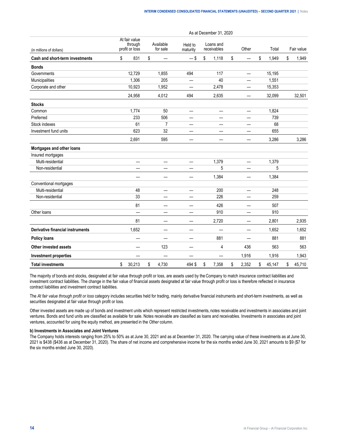|                                         | As at December 31, 2020 |                                            |    |                       |                          |    |                          |    |       |    |        |    |            |
|-----------------------------------------|-------------------------|--------------------------------------------|----|-----------------------|--------------------------|----|--------------------------|----|-------|----|--------|----|------------|
| (in millions of dollars)                |                         | At fair value<br>through<br>profit or loss |    | Available<br>for sale | Held to<br>maturity      |    | Loans and<br>receivables |    | Other |    | Total  |    | Fair value |
| Cash and short-term investments         | \$                      | 831                                        | \$ |                       | $-$ \$                   | \$ | 1,118                    | \$ |       | \$ | 1,949  | \$ | 1,949      |
| <b>Bonds</b>                            |                         |                                            |    |                       |                          |    |                          |    |       |    |        |    |            |
| Governments                             |                         | 12,729                                     |    | 1,855                 | 494                      |    | 117                      |    |       |    | 15,195 |    |            |
| Municipalities                          |                         | 1,306                                      |    | 205                   |                          |    | 40                       |    |       |    | 1,551  |    |            |
| Corporate and other                     |                         | 10,923                                     |    | 1,952                 |                          |    | 2,478                    |    |       |    | 15,353 |    |            |
|                                         |                         | 24,958                                     |    | 4,012                 | 494                      |    | 2,635                    |    |       |    | 32,099 |    | 32,501     |
| <b>Stocks</b>                           |                         |                                            |    |                       |                          |    |                          |    |       |    |        |    |            |
| Common                                  |                         | 1,774                                      |    | 50                    | —                        |    | $\qquad \qquad$          |    |       |    | 1,824  |    |            |
| Preferred                               |                         | 233                                        |    | 506                   | —                        |    | $\overline{\phantom{0}}$ |    |       |    | 739    |    |            |
| Stock indexes                           |                         | 61                                         |    | 7                     |                          |    |                          |    |       |    | 68     |    |            |
| Investment fund units                   |                         | 623                                        |    | 32                    | —                        |    | —                        |    | —     |    | 655    |    |            |
|                                         |                         | 2,691                                      |    | 595                   | —                        |    | —                        |    |       |    | 3,286  |    | 3,286      |
| Mortgages and other loans               |                         |                                            |    |                       |                          |    |                          |    |       |    |        |    |            |
| Insured mortgages                       |                         |                                            |    |                       |                          |    |                          |    |       |    |        |    |            |
| Multi-residential                       |                         | $\qquad \qquad$                            |    | —                     | —                        |    | 1,379                    |    | —     |    | 1,379  |    |            |
| Non-residential                         |                         |                                            |    |                       |                          |    | 5                        |    |       |    | 5      |    |            |
|                                         |                         |                                            |    | —                     | —                        |    | 1,384                    |    | —     |    | 1,384  |    |            |
| Conventional mortgages                  |                         |                                            |    |                       |                          |    |                          |    |       |    |        |    |            |
| Multi-residential                       |                         | 48                                         |    | —                     | $\overline{\phantom{0}}$ |    | 200                      |    | —     |    | 248    |    |            |
| Non-residential                         |                         | 33                                         |    |                       |                          |    | 226                      |    |       |    | 259    |    |            |
|                                         |                         | 81                                         |    |                       | —                        |    | 426                      |    |       |    | 507    |    |            |
| Other loans                             |                         | $\overline{\phantom{0}}$                   |    | —                     | —                        |    | 910                      |    |       |    | 910    |    |            |
|                                         |                         | 81                                         |    | —                     | $\overline{\phantom{0}}$ |    | 2,720                    |    | —     |    | 2,801  |    | 2,935      |
| <b>Derivative financial instruments</b> |                         | 1,652                                      |    |                       | -                        |    |                          |    |       |    | 1,652  |    | 1,652      |
| <b>Policy loans</b>                     |                         |                                            |    |                       | —                        |    | 881                      |    | ÷.    |    | 881    |    | 881        |
| Other invested assets                   |                         |                                            |    | 123                   | —                        |    | 4                        |    | 436   |    | 563    |    | 563        |
| <b>Investment properties</b>            |                         |                                            |    |                       |                          |    |                          |    | 1,916 |    | 1,916  |    | 1,943      |
| <b>Total investments</b>                | \$                      | 30,213                                     | \$ | 4,730                 | 494 \$                   | \$ | 7,358                    | \$ | 2,352 | \$ | 45,147 | \$ | 45,710     |

The majority of bonds and stocks, designated at fair value through profit or loss, are assets used by the Company to match insurance contract liabilities and investment contract liabilities. The change in the fair value of financial assets designated at fair value through profit or loss is therefore reflected in insurance contract liabilities and investment contract liabilities.

The *At fair value through profit or loss* category includes securities held for trading, mainly derivative financial instruments and short-term investments, as well as securities designated at fair value through profit or loss.

Other invested assets are made up of bonds and investment units which represent restricted investments, notes receivable and investments in associates and joint ventures. Bonds and fund units are classified as available for sale. Notes receivable are classified as loans and receivables. Investments in associates and joint ventures, accounted for using the equity method, are presented in the *Other* column.

#### **b) Investments in Associates and Joint Ventures**

The Company holds interests ranging from 25% to 50% as at June 30, 2021 and as at December 31, 2020. The carrying value of these investments as at June 30, 2021 is \$438 (\$436 as at December 31, 2020). The share of net income and comprehensive income for the six months ended June 30, 2021 amounts to \$9 (\$7 for the six months ended June 30, 2020).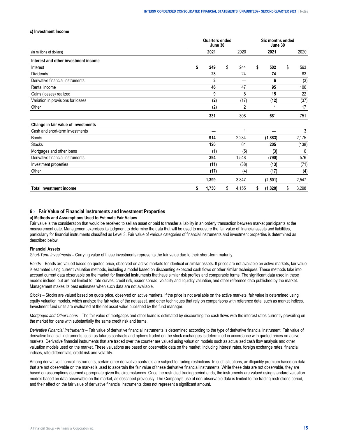#### <span id="page-14-0"></span>**c) Investment Income**

|                                      |    |       | <b>Quarters ended</b><br>June 30 |       |    | Six months ended<br>June 30 |             |
|--------------------------------------|----|-------|----------------------------------|-------|----|-----------------------------|-------------|
| (in millions of dollars)             |    | 2021  |                                  | 2020  |    | 2021                        | 2020        |
| Interest and other investment income |    |       |                                  |       |    |                             |             |
| Interest                             | \$ | 249   | \$                               | 244   | \$ | 502                         | \$<br>563   |
| <b>Dividends</b>                     |    | 28    |                                  | 24    |    | 74                          | 83          |
| Derivative financial instruments     |    | 3     |                                  |       |    | 6                           | (3)         |
| Rental income                        |    | 46    |                                  | 47    |    | 95                          | 106         |
| Gains (losses) realized              |    | 9     |                                  | 8     |    | 15                          | 22          |
| Variation in provisions for losses   |    | (2)   |                                  | (17)  |    | (12)                        | (37)        |
| Other                                |    | (2)   |                                  | 2     |    |                             | 17          |
|                                      |    | 331   |                                  | 308   |    | 681                         | 751         |
| Change in fair value of investments  |    |       |                                  |       |    |                             |             |
| Cash and short-term investments      |    |       |                                  |       |    |                             | 3           |
| <b>Bonds</b>                         |    | 914   |                                  | 2,284 |    | (1,883)                     | 2,175       |
| <b>Stocks</b>                        |    | 120   |                                  | 61    |    | 205                         | (138)       |
| Mortgages and other loans            |    | (1)   |                                  | (5)   |    | (3)                         | 6           |
| Derivative financial instruments     |    | 394   |                                  | 1,548 |    | (790)                       | 576         |
| Investment properties                |    | (11)  |                                  | (38)  |    | (13)                        | (71)        |
| Other                                |    | (17)  |                                  | (4)   |    | (17)                        | (4)         |
|                                      |    | 1,399 |                                  | 3,847 |    | (2,501)                     | 2,547       |
| <b>Total investment income</b>       | s  | 1,730 | \$                               | 4,155 | s  | (1,820)                     | \$<br>3,298 |

#### **6 › Fair Value of Financial Instruments and Investment Properties**

#### **a) Methods and Assumptions Used to Estimate Fair Values**

Fair value is the consideration that would be received to sell an asset or paid to transfer a liability in an orderly transaction between market participants at the measurement date. Management exercises its judgment to determine the data that will be used to measure the fair value of financial assets and liabilities, particularly for financial instruments classified as Level 3. Fair value of various categories of financial instruments and investment properties is determined as described below.

#### **Financial Assets**

*Short-Term Investments –* Carrying value of these investments represents the fair value due to their short-term maturity.

*Bonds –* Bonds are valued based on quoted price, observed on active markets for identical or similar assets. If prices are not available on active markets, fair value is estimated using current valuation methods, including a model based on discounting expected cash flows or other similar techniques. These methods take into account current data observable on the market for financial instruments that have similar risk profiles and comparable terms. The significant data used in these models include, but are not limited to, rate curves, credit risk, issuer spread, volatility and liquidity valuation, and other reference data published by the market. Management makes its best estimates when such data are not available.

*Stocks –* Stocks are valued based on quote price, observed on active markets. If the price is not available on the active markets, fair value is determined using equity valuation models, which analyze the fair value of the net asset, and other techniques that rely on comparisons with reference data, such as market indices. Investment fund units are evaluated at the net asset value published by the fund manager.

*Mortgages and Other Loans –* The fair value of mortgages and other loans is estimated by discounting the cash flows with the interest rates currently prevailing on the market for loans with substantially the same credit risk and terms.

*Derivative Financial Instruments* – Fair value of derivative financial instruments is determined according to the type of derivative financial instrument. Fair value of derivative financial instruments, such as futures contracts and options traded on the stock exchanges is determined in accordance with quoted prices on active markets. Derivative financial instruments that are traded over the counter are valued using valuation models such as actualized cash flow analysis and other valuation models used on the market. These valuations are based on observable data on the market, including interest rates, foreign exchange rates, financial indices, rate differentials, credit risk and volatility.

Among derivative financial instruments, certain other derivative contracts are subject to trading restrictions. In such situations, an illiquidity premium based on data that are not observable on the market is used to ascertain the fair value of these derivative financial instruments. While these data are not observable, they are based on assumptions deemed appropriate given the circumstances. Once the restricted trading period ends, the instruments are valued using standard valuation models based on data observable on the market, as described previously. The Company's use of non-observable data is limited to the trading restrictions period, and their effect on the fair value of derivative financial instruments does not represent a significant amount.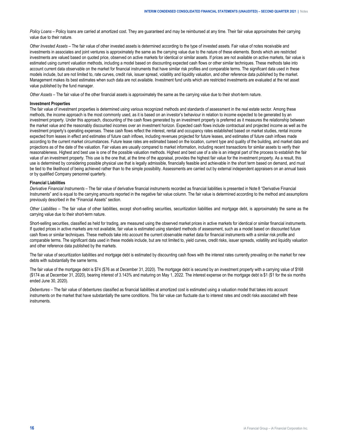*Policy Loans* – Policy loans are carried at amortized cost. They are guaranteed and may be reimbursed at any time. Their fair value approximates their carrying value due to their nature.

*Other Invested Assets –* The fair value of other invested assets is determined according to the type of invested assets. Fair value of notes receivable and investments in associates and joint ventures is approximately the same as the carrying value due to the nature of these elements. Bonds which are restricted investments are valued based on quoted price, observed on active markets for identical or similar assets. If prices are not available on active markets, fair value is estimated using current valuation methods, including a model based on discounting expected cash flows or other similar techniques. These methods take into account current data observable on the market for financial instruments that have similar risk profiles and comparable terms. The significant data used in these models include, but are not limited to, rate curves, credit risk, issuer spread, volatility and liquidity valuation, and other reference data published by the market. Management makes its best estimates when such data are not available. Investment fund units which are restricted investments are evaluated at the net asset value published by the fund manager.

*Other Assets –* The fair value of the other financial assets is approximately the same as the carrying value due to their short-term nature.

#### **Investment Properties**

The fair value of investment properties is determined using various recognized methods and standards of assessment in the real estate sector. Among these methods, the income approach is the most commonly used, as it is based on an investor's behaviour in relation to income expected to be generated by an investment property. Under this approach, discounting of the cash flows generated by an investment property is preferred as it measures the relationship between the market value and the reasonably discounted incomes over an investment horizon. Expected cash flows include contractual and projected income as well as the investment property's operating expenses. These cash flows reflect the interest, rental and occupancy rates established based on market studies, rental income expected from leases in effect and estimates of future cash inflows, including revenues projected for future leases, and estimates of future cash inflows made according to the current market circumstances. Future lease rates are estimated based on the location, current type and quality of the building, and market data and projections as of the date of the valuation. Fair values are usually compared to market information, including recent transactions for similar assets to verify their reasonableness. Highest and best use is one of the possible valuation methods. Highest and best use of a site is an integral part of the process to establish the fair value of an investment property. This use is the one that, at the time of the appraisal, provides the highest fair value for the investment property. As a result, this use is determined by considering possible physical use that is legally admissible, financially feasible and achievable in the short term based on demand, and must be tied to the likelihood of being achieved rather than to the simple possibility. Assessments are carried out by external independent appraisers on an annual basis or by qualified Company personnel quarterly.

#### **Financial Liabilities**

*Derivative Financial Instruments –* The fair value of derivative financial instruments recorded as financial liabilities is presented in Note 8 "Derivative Financial Instruments" and is equal to the carrying amounts reported in the negative fair value column. The fair value is determined according to the method and assumptions previously described in the "Financial Assets" section.

*Other Liabilities –* The fair value of other liabilities, except short-selling securities, securitization liabilities and mortgage debt, is approximately the same as the carrying value due to their short-term nature.

Short-selling securities, classified as held for trading, are measured using the observed market prices in active markets for identical or similar financial instruments. If quoted prices in active markets are not available, fair value is estimated using standard methods of assessment, such as a model based on discounted future cash flows or similar techniques. These methods take into account the current observable market data for financial instruments with a similar risk profile and comparable terms. The significant data used in these models include, but are not limited to, yield curves, credit risks, issuer spreads, volatility and liquidity valuation and other reference data published by the markets.

The fair value of securitization liabilities and mortgage debt is estimated by discounting cash flows with the interest rates currently prevailing on the market for new debts with substantially the same terms.

The fair value of the mortgage debt is \$74 (\$76 as at December 31, 2020). The mortgage debt is secured by an investment property with a carrying value of \$168 (\$174 as at December 31, 2020), bearing interest of 3.143% and maturing on May 1, 2022. The interest expense on the mortgage debt is \$1 (\$1 for the six months ended June 30, 2020).

*Debentures –* The fair value of debentures classified as financial liabilities at amortized cost is estimated using a valuation model that takes into account instruments on the market that have substantially the same conditions. This fair value can fluctuate due to interest rates and credit risks associated with these instruments.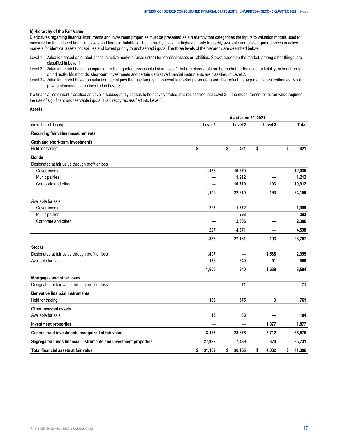#### **b) Hierarchy of the Fair Value**

Disclosures regarding financial instruments and investment properties must be presented as a hierarchy that categorizes the inputs to valuation models used to measure the fair value of financial assets and financial liabilities. The hierarchy gives the highest priority to readily available unadjusted quoted prices in active markets for identical assets or liabilities and lowest priority to unobserved inputs. The three levels of the hierarchy are described below:

- Level 1 Valuation based on quoted prices in active markets (unadjusted) for identical assets or liabilities. Stocks traded on the market, among other things, are classified in Level 1.
- Level 2 Valuation model based on inputs other than quoted prices included in Level 1 that are observable on the market for the asset or liability, either directly or indirectly. Most bonds, short-term investments and certain derivative financial instruments are classified in Level 2.
- Level 3 Valuation model based on valuation techniques that use largely unobservable market parameters and that reflect management's best estimates. Most private placements are classified in Level 3.

If a financial instrument classified as Level 1 subsequently ceases to be actively traded, it is reclassified into Level 2. If the measurement of its fair value requires the use of significant unobservable inputs, it is directly reclassified into Level 3.

#### **Assets**

|                                                                  |              | As at June 30, 2021 |                          |              |
|------------------------------------------------------------------|--------------|---------------------|--------------------------|--------------|
| (in millions of dollars)                                         | Level 1      | Level 2             | Level 3                  | Total        |
| Recurring fair value measurements                                |              |                     |                          |              |
| Cash and short-term investments                                  |              |                     |                          |              |
| Held for trading                                                 | \$           | \$<br>421           | \$                       | \$<br>421    |
| <b>Bonds</b>                                                     |              |                     |                          |              |
| Designated at fair value through profit or loss                  |              |                     |                          |              |
| Governments                                                      | 1,156        | 10,879              | —                        | 12,035       |
| Municipalities                                                   |              | 1,212               |                          | 1,212        |
| Corporate and other                                              |              | 10,719              | 193                      | 10,912       |
|                                                                  | 1,156        | 22,810              | 193                      | 24,159       |
| Available for sale                                               |              |                     |                          |              |
| Governments                                                      | 227          | 1,772               | —                        | 1,999        |
| Municipalities                                                   | —            | 293                 |                          | 293          |
| Corporate and other                                              |              | 2,306               | –                        | 2,306        |
|                                                                  | 227          | 4,371               |                          | 4,598        |
|                                                                  | 1,383        | 27,181              | 193                      | 28,757       |
| <b>Stocks</b>                                                    |              |                     |                          |              |
| Designated at fair value through profit or loss                  | 1,407        |                     | 1,588                    | 2,995        |
| Available for sale                                               | 198          | 340                 | 51                       | 589          |
|                                                                  | 1,605        | 340                 | 1,639                    | 3,584        |
| Mortgages and other loans                                        |              |                     |                          |              |
| Designated at fair value through profit or loss                  |              | 71                  | –                        | 71           |
| Derivative financial instruments                                 |              |                     |                          |              |
| Held for trading                                                 | 183          | 575                 | 3                        | 761          |
| Other invested assets                                            |              |                     |                          |              |
| Available for sale                                               | 16           | 88                  | $\overline{\phantom{0}}$ | 104          |
| <b>Investment properties</b>                                     |              | —                   | 1,877                    | 1,877        |
| General fund investments recognized at fair value                | 3,187        | 28,676              | 3,712                    | 35,575       |
| Segregated funds financial instruments and investment properties | 27,922       | 7,489               | 320                      | 35,731       |
| Total financial assets at fair value                             | 31,109<br>\$ | 36,165<br>\$        | \$<br>4,032              | 71,306<br>\$ |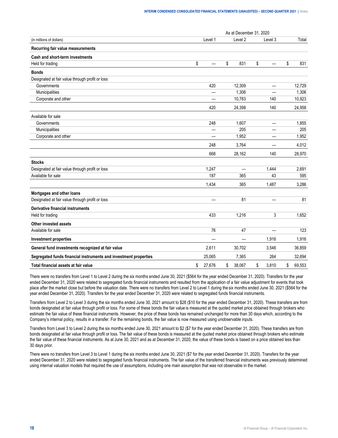|                                                                  |                          | As at December 31, 2020  |                          |              |
|------------------------------------------------------------------|--------------------------|--------------------------|--------------------------|--------------|
| (in millions of dollars)                                         | Level 1                  | Level 2                  | Level 3                  | Total        |
| Recurring fair value measurements                                |                          |                          |                          |              |
| Cash and short-term investments                                  |                          |                          |                          |              |
| Held for trading                                                 | \$                       | \$<br>831                | \$                       | \$<br>831    |
| <b>Bonds</b>                                                     |                          |                          |                          |              |
| Designated at fair value through profit or loss                  |                          |                          |                          |              |
| Governments                                                      | 420                      | 12,309                   | $\overline{\phantom{0}}$ | 12,729       |
| Municipalities                                                   | $\overline{\phantom{0}}$ | 1,306                    | $\overline{\phantom{0}}$ | 1,306        |
| Corporate and other                                              |                          | 10,783                   | 140                      | 10,923       |
|                                                                  | 420                      | 24,398                   | 140                      | 24,958       |
| Available for sale                                               |                          |                          |                          |              |
| Governments                                                      | 248                      | 1,607                    | $\overline{\phantom{0}}$ | 1,855        |
| Municipalities                                                   | —                        | 205                      |                          | 205          |
| Corporate and other                                              |                          | 1,952                    | —                        | 1,952        |
|                                                                  | 248                      | 3.764                    |                          | 4.012        |
|                                                                  | 668                      | 28,162                   | 140                      | 28,970       |
| <b>Stocks</b>                                                    |                          |                          |                          |              |
| Designated at fair value through profit or loss                  | 1,247                    | $\overline{\phantom{0}}$ | 1,444                    | 2,691        |
| Available for sale                                               | 187                      | 365                      | 43                       | 595          |
|                                                                  | 1,434                    | 365                      | 1,487                    | 3,286        |
| Mortgages and other loans                                        |                          |                          |                          |              |
| Designated at fair value through profit or loss                  |                          | 81                       |                          | 81           |
| Derivative financial instruments                                 |                          |                          |                          |              |
| Held for trading                                                 | 433                      | 1,216                    | 3                        | 1,652        |
| Other invested assets                                            |                          |                          |                          |              |
| Available for sale                                               | 76                       | 47                       |                          | 123          |
| <b>Investment properties</b>                                     | —                        | —                        | 1,916                    | 1,916        |
| General fund investments recognized at fair value                | 2,611                    | 30,702                   | 3,546                    | 36,859       |
| Segregated funds financial instruments and investment properties | 25,065                   | 7,365                    | 264                      | 32.694       |
| Total financial assets at fair value                             | \$<br>27,676             | \$<br>38,067             | \$<br>3,810              | \$<br>69,553 |

There were no transfers from Level 1 to Level 2 during the six months ended June 30, 2021 (\$564 for the year ended December 31, 2020). Transfers for the year ended December 31, 2020 were related to segregated funds financial instruments and resulted from the application of a fair value adjustment for events that took place after the market close but before the valuation date. There were no transfers from Level 2 to Level 1 during the six months ended June 30, 2021 (\$564 for the year ended December 31, 2020). Transfers for the year ended December 31, 2020 were related to segregated funds financial instruments.

Transfers from Level 2 to Level 3 during the six months ended June 30, 2021 amount to \$28 (\$10 for the year ended December 31, 2020). These transfers are from bonds designated at fair value through profit or loss. For some of these bonds the fair value is measured at the quoted market price obtained through brokers who estimate the fair value of these financial instruments. However, the price of these bonds has remained unchanged for more than 30 days which, according to the Company's internal policy, results in a transfer. For the remaining bonds, the fair value is now measured using unobservable inputs.

Transfers from Level 3 to Level 2 during the six months ended June 30, 2021 amount to \$2 (\$7 for the year ended December 31, 2020). These transfers are from bonds designated at fair value through profit or loss. The fair value of these bonds is measured at the quoted market price obtained through brokers who estimate the fair value of these financial instruments. As at June 30, 2021 and as at December 31, 2020, the value of these bonds is based on a price obtained less than 30 days prior.

There were no transfers from Level 3 to Level 1 during the six months ended June 30, 2021 (\$7 for the year ended December 31, 2020). Transfers for the year ended December 31, 2020 were related to segregated funds financial instruments. The fair value of the transferred financial instruments was previously determined using internal valuation models that required the use of assumptions, including one main assumption that was not observable in the market.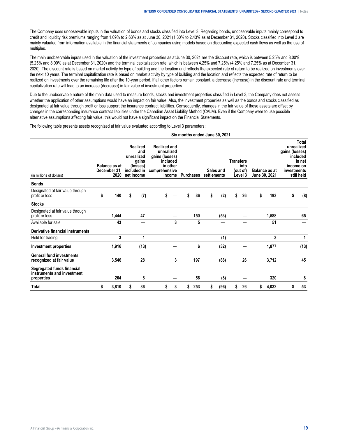The Company uses unobservable inputs in the valuation of bonds and stocks classified into Level 3. Regarding bonds, unobservable inputs mainly correspond to credit and liquidity risk premiums ranging from 1.09% to 2.63% as at June 30, 2021 (1.30% to 2.43% as at December 31, 2020). Stocks classified into Level 3 are mainly valuated from information available in the financial statements of companies using models based on discounting expected cash flows as well as the use of multiples.

The main unobservable inputs used in the valuation of the investment properties as at June 30, 2021 are the discount rate, which is between 5.25% and 8.00% (5.25% and 8.00% as at December 31, 2020) and the terminal capitalization rate, which is between 4.25% and 7.25% (4.25% and 7.25% as at December 31, 2020). The discount rate is based on market activity by type of building and the location and reflects the expected rate of return to be realized on investments over the next 10 years. The terminal capitalization rate is based on market activity by type of building and the location and reflects the expected rate of return to be realized on investments over the remaining life after the 10-year period. If all other factors remain constant, a decrease (increase) in the discount rate and terminal capitalization rate will lead to an increase (decrease) in fair value of investment properties.

Due to the unobservable nature of the main data used to measure bonds, stocks and investment properties classified in Level 3, the Company does not assess whether the application of other assumptions would have an impact on fair value. Also, the investment properties as well as the bonds and stocks classified as designated at fair value through profit or loss support the insurance contract liabilities. Consequently, changes in the fair value of these assets are offset by changes in the corresponding insurance contract liabilities under the Canadian Asset Liability Method (CALM). Even if the Company were to use possible alternative assumptions affecting fair value, this would not have a significant impact on the Financial Statements.

**Six months ended June 30, 2021**

The following table presents assets recognized at fair value evaluated according to Level 3 parameters:

| (in millions of dollars)                                               | <b>Balance as at</b><br>December 31,<br>2020 |   | Realized<br>and<br>unrealized<br>gains<br>(losses)<br>included in<br>net income | <b>Realized and</b><br>unrealized<br>gains (losses)<br>included<br>in other<br>comprehensive<br>income |    | <b>Purchases</b> |    | Sales and<br>settlements |    | <b>Transfers</b><br>into<br>(out of)<br>Level 3 |    | <b>Balance as at</b><br>June 30, 2021 | gains (losses)<br>investments | Total<br>unrealized<br>included<br>in net<br>income on<br>still held |
|------------------------------------------------------------------------|----------------------------------------------|---|---------------------------------------------------------------------------------|--------------------------------------------------------------------------------------------------------|----|------------------|----|--------------------------|----|-------------------------------------------------|----|---------------------------------------|-------------------------------|----------------------------------------------------------------------|
| <b>Bonds</b>                                                           |                                              |   |                                                                                 |                                                                                                        |    |                  |    |                          |    |                                                 |    |                                       |                               |                                                                      |
| Designated at fair value through<br>profit or loss                     | \$<br>140                                    | s | (7)                                                                             | \$                                                                                                     | \$ | 36               | \$ | (2)                      | \$ | 26                                              | \$ | 193                                   | \$                            | (8)                                                                  |
| <b>Stocks</b>                                                          |                                              |   |                                                                                 |                                                                                                        |    |                  |    |                          |    |                                                 |    |                                       |                               |                                                                      |
| Designated at fair value through<br>profit or loss                     | 1,444                                        |   | 47                                                                              |                                                                                                        |    | 150              |    | (53)                     |    |                                                 |    | 1,588                                 |                               | 65                                                                   |
| Available for sale                                                     | 43                                           |   | -                                                                               | 3                                                                                                      |    | 5                |    |                          |    |                                                 |    | 51                                    |                               |                                                                      |
| Derivative financial instruments                                       |                                              |   |                                                                                 |                                                                                                        |    |                  |    |                          |    |                                                 |    |                                       |                               |                                                                      |
| Held for trading                                                       | 3                                            |   | 1                                                                               |                                                                                                        |    |                  |    | (1)                      |    |                                                 |    | 3                                     |                               | 1                                                                    |
| Investment properties                                                  | 1,916                                        |   | (13)                                                                            |                                                                                                        |    | 6                |    | (32)                     |    |                                                 |    | 1,877                                 |                               | (13)                                                                 |
| <b>General fund investments</b><br>recognized at fair value            | 3,546                                        |   | 28                                                                              | 3                                                                                                      |    | 197              |    | (88)                     |    | 26                                              |    | 3,712                                 |                               | 45                                                                   |
| Segregated funds financial<br>instruments and investment<br>properties | 264                                          |   | 8                                                                               |                                                                                                        |    | 56               |    | (8)                      |    |                                                 |    | 320                                   |                               | 8                                                                    |
| <b>Total</b>                                                           | \$<br>3,810                                  | 5 | 36                                                                              | \$<br>3                                                                                                | \$ | 253              | \$ | (96)                     | \$ | 26                                              | \$ | 4,032                                 | \$                            | 53                                                                   |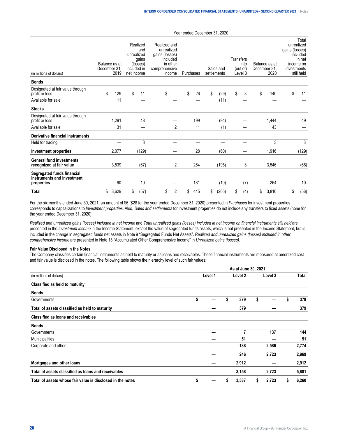| (in millions of dollars)                                               | Balance as at<br>December 31<br>2019 |    | Realized<br>and<br>unrealized<br>gains<br>(losses)<br>included in<br>net income | Realized and<br>unrealized<br>gains (losses)<br>included<br>in other<br>comprehensive<br>income |    | Purchases | Transfers<br>Sales and<br>settlements<br>Level 3 |    |     | Balance as at<br>December 31.<br>2020 | gains (losses)<br>investments | Total<br>unrealized<br>included<br>in net<br>income on<br>still held |
|------------------------------------------------------------------------|--------------------------------------|----|---------------------------------------------------------------------------------|-------------------------------------------------------------------------------------------------|----|-----------|--------------------------------------------------|----|-----|---------------------------------------|-------------------------------|----------------------------------------------------------------------|
| <b>Bonds</b>                                                           |                                      |    |                                                                                 |                                                                                                 |    |           |                                                  |    |     |                                       |                               |                                                                      |
| Designated at fair value through<br>profit or loss                     | \$<br>129                            | \$ | 11                                                                              | \$                                                                                              | \$ | 26        | \$<br>(29)                                       | \$ | 3   | \$<br>140                             | \$                            | 11                                                                   |
| Available for sale                                                     | 11                                   |    | –                                                                               |                                                                                                 |    |           | (11)                                             |    |     |                                       |                               |                                                                      |
| <b>Stocks</b>                                                          |                                      |    |                                                                                 |                                                                                                 |    |           |                                                  |    |     |                                       |                               |                                                                      |
| Designated at fair value through<br>profit or loss                     | 1,291                                |    | 48                                                                              |                                                                                                 |    | 199       | (94)                                             |    |     | 1,444                                 |                               | 49                                                                   |
| Available for sale                                                     | 31                                   |    | —                                                                               | $\overline{2}$                                                                                  |    | 11        | (1)                                              |    |     | 43                                    |                               |                                                                      |
| Derivative financial instruments                                       |                                      |    |                                                                                 |                                                                                                 |    |           |                                                  |    |     |                                       |                               |                                                                      |
| Held for trading                                                       |                                      |    | 3                                                                               |                                                                                                 |    |           |                                                  |    |     | 3                                     |                               | 3                                                                    |
| Investment properties                                                  | 2,077                                |    | (129)                                                                           |                                                                                                 |    | 28        | (60)                                             |    |     | 1,916                                 |                               | (129)                                                                |
| <b>General fund investments</b><br>recognized at fair value            | 3,539                                |    | (67)                                                                            | 2                                                                                               |    | 264       | (195)                                            |    | 3   | 3,546                                 |                               | (66)                                                                 |
| Segregated funds financial<br>instruments and investment<br>properties | 90                                   |    | 10                                                                              |                                                                                                 |    | 181       | (10)                                             |    | (7) | 264                                   |                               | 10                                                                   |
| <b>Total</b>                                                           | \$<br>3,629                          | \$ | (57)                                                                            | \$<br>2                                                                                         | \$ | 445       | \$<br>(205)                                      | \$ | (4) | \$<br>3,810                           | \$                            | (56)                                                                 |

Year ended December 31, 2020

For the six months ended June 30, 2021, an amount of \$6 (\$28 for the year ended December 31, 2020) presented in *Purchases* for investment properties corresponds to capitalizations to *Investment properties*. Also, *Sales and settlements* for investment properties do not include any transfers to fixed assets (none for the year ended December 31, 2020).

*Realized and unrealized gains (losses) included in net income* and *Total unrealized gains (losses) included in net income on financial instruments still held* are presented in the *Investment income* in the Income Statement, except the value of segregated funds assets, which is not presented in the Income Statement, but is included in the change in segregated funds net assets in Note 9 "Segregated Funds Net Assets". *Realized and unrealized gains (losses) included in other comprehensive income* are presented in Note 13 "Accumulated Other Comprehensive Income" in *Unrealized gains (losses).*

#### **Fair Value Disclosed in the Notes**

The Company classifies certain financial instruments as held to maturity or as loans and receivables. These financial instruments are measured at amortized cost and fair value is disclosed in the notes. The following table shows the hierarchy level of such fair values:

|                                                            | As at June 30, 2021 |         |   |         |    |         |   |       |  |  |  |  |
|------------------------------------------------------------|---------------------|---------|---|---------|----|---------|---|-------|--|--|--|--|
| (in millions of dollars)                                   |                     | Level 1 |   | Level 2 |    | Level 3 |   | Total |  |  |  |  |
| Classified as held to maturity                             |                     |         |   |         |    |         |   |       |  |  |  |  |
| <b>Bonds</b>                                               |                     |         |   |         |    |         |   |       |  |  |  |  |
| Governments                                                | \$                  |         | S | 379     | \$ |         |   | 379   |  |  |  |  |
| Total of assets classified as held to maturity             |                     |         |   | 379     |    |         |   | 379   |  |  |  |  |
| Classified as loans and receivables                        |                     |         |   |         |    |         |   |       |  |  |  |  |
| <b>Bonds</b>                                               |                     |         |   |         |    |         |   |       |  |  |  |  |
| Governments                                                |                     |         |   | 7       |    | 137     |   | 144   |  |  |  |  |
| Municipalities                                             |                     |         |   | 51      |    |         |   | 51    |  |  |  |  |
| Corporate and other                                        |                     |         |   | 188     |    | 2,586   |   | 2,774 |  |  |  |  |
|                                                            |                     |         |   | 246     |    | 2,723   |   | 2,969 |  |  |  |  |
| Mortgages and other loans                                  |                     |         |   | 2,912   |    |         |   | 2,912 |  |  |  |  |
| Total of assets classified as loans and receivables        |                     |         |   | 3,158   |    | 2,723   |   | 5,881 |  |  |  |  |
| Total of assets whose fair value is disclosed in the notes | \$                  |         | S | 3,537   | s. | 2,723   | s | 6,260 |  |  |  |  |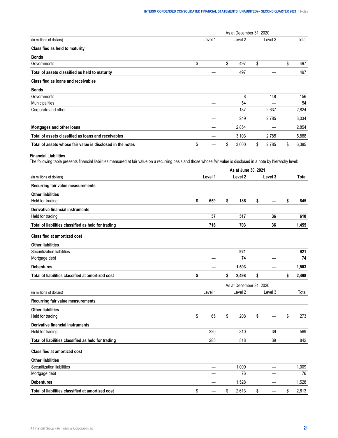|                                                            | As at December 31, 2020 |         |    |         |    |         |    |       |  |  |  |  |
|------------------------------------------------------------|-------------------------|---------|----|---------|----|---------|----|-------|--|--|--|--|
| (in millions of dollars)                                   |                         | Level 1 |    | Level 2 |    | Level 3 |    | Total |  |  |  |  |
| Classified as held to maturity                             |                         |         |    |         |    |         |    |       |  |  |  |  |
| <b>Bonds</b>                                               |                         |         |    |         |    |         |    |       |  |  |  |  |
| Governments                                                | \$                      |         | \$ | 497     | \$ |         | \$ | 497   |  |  |  |  |
| Total of assets classified as held to maturity             |                         |         |    | 497     |    |         |    | 497   |  |  |  |  |
| Classified as loans and receivables                        |                         |         |    |         |    |         |    |       |  |  |  |  |
| <b>Bonds</b>                                               |                         |         |    |         |    |         |    |       |  |  |  |  |
| Governments                                                |                         |         |    | 8       |    | 148     |    | 156   |  |  |  |  |
| Municipalities                                             |                         |         |    | 54      |    |         |    | 54    |  |  |  |  |
| Corporate and other                                        |                         |         |    | 187     |    | 2,637   |    | 2,824 |  |  |  |  |
|                                                            |                         |         |    | 249     |    | 2,785   |    | 3,034 |  |  |  |  |
| Mortgages and other loans                                  |                         |         |    | 2,854   |    |         |    | 2,854 |  |  |  |  |
| Total of assets classified as loans and receivables        |                         |         |    | 3,103   |    | 2,785   |    | 5,888 |  |  |  |  |
| Total of assets whose fair value is disclosed in the notes | \$                      |         | S  | 3,600   | \$ | 2,785   | \$ | 6,385 |  |  |  |  |

## **Financial Liabilities**

The following table presents financial liabilities measured at fair value on a recurring basis and those whose fair value is disclosed in a note by hierarchy level:

|                                                     | As at June 30, 2021 |         |    |                         |    |         |    |              |  |  |  |
|-----------------------------------------------------|---------------------|---------|----|-------------------------|----|---------|----|--------------|--|--|--|
| (in millions of dollars)                            |                     | Level 1 |    | Level <sub>2</sub>      |    | Level 3 |    | <b>Total</b> |  |  |  |
| Recurring fair value measurements                   |                     |         |    |                         |    |         |    |              |  |  |  |
| <b>Other liabilities</b>                            |                     |         |    |                         |    |         |    |              |  |  |  |
| Held for trading                                    | \$                  | 659     | \$ | 186                     | \$ |         | \$ | 845          |  |  |  |
| <b>Derivative financial instruments</b>             |                     |         |    |                         |    |         |    |              |  |  |  |
| Held for trading                                    |                     | 57      |    | 517                     |    | 36      |    | 610          |  |  |  |
| Total of liabilities classified as held for trading |                     | 716     |    | 703                     |    | 36      |    | 1,455        |  |  |  |
| <b>Classified at amortized cost</b>                 |                     |         |    |                         |    |         |    |              |  |  |  |
| <b>Other liabilities</b>                            |                     |         |    |                         |    |         |    |              |  |  |  |
| Securitization liabilities                          |                     | —       |    | 921                     |    |         |    | 921          |  |  |  |
| Mortgage debt                                       |                     |         |    | 74                      |    |         |    | 74           |  |  |  |
| <b>Debentures</b>                                   |                     |         |    | 1,503                   |    |         |    | 1,503        |  |  |  |
| Total of liabilities classified at amortized cost   | \$                  |         | \$ | 2,498                   | \$ |         | \$ | 2,498        |  |  |  |
|                                                     |                     |         |    | As at December 31, 2020 |    |         |    |              |  |  |  |
| (in millions of dollars)                            |                     | Level 1 |    | Level <sub>2</sub>      |    | Level 3 |    | Total        |  |  |  |
| Recurring fair value measurements                   |                     |         |    |                         |    |         |    |              |  |  |  |
| <b>Other liabilities</b>                            |                     |         |    |                         |    |         |    |              |  |  |  |
| Held for trading                                    | \$                  | 65      | \$ | 208                     | \$ |         | \$ | 273          |  |  |  |
| Derivative financial instruments                    |                     |         |    |                         |    |         |    |              |  |  |  |
| Held for trading                                    |                     | 220     |    | 310                     |    | 39      |    | 569          |  |  |  |
| Total of liabilities classified as held for trading |                     | 285     |    | 518                     |    | 39      |    | 842          |  |  |  |
| <b>Classified at amortized cost</b>                 |                     |         |    |                         |    |         |    |              |  |  |  |
| <b>Other liabilities</b>                            |                     |         |    |                         |    |         |    |              |  |  |  |
| Securitization liabilities                          |                     | —       |    | 1,009                   |    |         |    | 1,009        |  |  |  |
| Mortgage debt                                       |                     |         |    | 76                      |    |         |    | 76           |  |  |  |
| <b>Debentures</b>                                   |                     |         |    | 1,528                   |    |         |    | 1,528        |  |  |  |
| Total of liabilities classified at amortized cost   | \$                  |         | \$ | 2,613                   | \$ |         | \$ | 2,613        |  |  |  |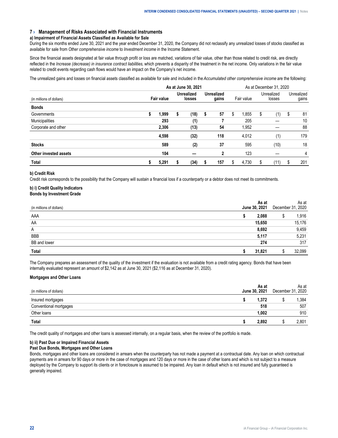#### <span id="page-21-0"></span>**7 › Management of Risks Associated with Financial Instruments**

#### **a) Impairment of Financial Assets Classified as Available for Sale**

During the six months ended June 30, 2021 and the year ended December 31, 2020, the Company did not reclassify any unrealized losses of stocks classified as available for sale from *Other comprehensive income* to *Investment income* in the Income Statement.

Since the financial assets designated at fair value through profit or loss are matched, variations of fair value, other than those related to credit risk, are directly reflected in the *Increase (decrease) in insurance contract liabilities*, which prevents a disparity of the treatment in the net income. Only variations in the fair value related to credit events regarding cash flows would have an impact on the Company's net income.

The unrealized gains and losses on financial assets classified as available for sale and included in the *Accumulated other comprehensive income* are the following:

|                          |   | As at June 30, 2021 |   |                             |   |                            |            |       | As at December 31, 2020 |      |                     |     |  |  |
|--------------------------|---|---------------------|---|-----------------------------|---|----------------------------|------------|-------|-------------------------|------|---------------------|-----|--|--|
| (in millions of dollars) |   | <b>Fair value</b>   |   | <b>Unrealized</b><br>losses |   | <b>Unrealized</b><br>gains | Fair value |       | Unrealized<br>losses    |      | Unrealized<br>gains |     |  |  |
| <b>Bonds</b>             |   |                     |   |                             |   |                            |            |       |                         |      |                     |     |  |  |
| Governments              | S | 1.999               | S | (18)                        | s | 57                         | S          | 1.855 | S                       | (1)  | S                   | 81  |  |  |
| Municipalities           |   | 293                 |   | (1)                         |   |                            |            | 205   |                         |      |                     | 10  |  |  |
| Corporate and other      |   | 2,306               |   | (13)                        |   | 54                         |            | 1,952 |                         |      |                     | 88  |  |  |
|                          |   | 4.598               |   | (32)                        |   | 118                        |            | 4,012 |                         | (1)  |                     | 179 |  |  |
| <b>Stocks</b>            |   | 589                 |   | (2)                         |   | 37                         |            | 595   |                         | (10) |                     | 18  |  |  |
| Other invested assets    |   | 104                 |   |                             |   | 2                          |            | 123   |                         |      |                     | 4   |  |  |
| <b>Total</b>             | S | 5,291               | S | (34)                        | ъ | 157                        | \$         | 4.730 | S                       | (11) | S                   | 201 |  |  |

#### **b) Credit Risk**

Credit risk corresponds to the possibility that the Company will sustain a financial loss if a counterparty or a debtor does not meet its commitments.

#### **b) i) Credit Quality Indicators Bonds by Investment Grade**

| ons of dollars'     | <b>June 30.</b> | 2021   | December 3 | ۱s at<br>2020 |
|---------------------|-----------------|--------|------------|---------------|
| AAA                 |                 |        |            | .916          |
| AA                  |                 |        |            | .176          |
| $\overline{A}$      |                 |        |            | .459          |
| <b>BBB</b>          |                 |        |            | 5.231         |
| <b>BB</b> and lower |                 |        |            | 317           |
|                     |                 | 31 821 |            |               |

The Company prepares an assessment of the quality of the investment if the evaluation is not available from a credit rating agency. Bonds that have been internally evaluated represent an amount of \$2,142 as at June 30, 2021 (\$2,116 as at December 31, 2020).

#### **Mortgages and Other Loans**

| bilars                 | June 1 | As at<br>2021<br>30. | December | As at<br>2020          |
|------------------------|--------|----------------------|----------|------------------------|
| aaqes                  |        | 1.372                |          | .384                   |
| Conventional mortgages |        | 518                  |          | ---------------<br>507 |
| <sup>.</sup> Ioans     |        | 1.002                |          | 910                    |
| I otal                 |        | 2.892                |          | .801                   |

The credit quality of mortgages and other loans is assessed internally, on a regular basis, when the review of the portfolio is made.

#### **b) ii) Past Due or Impaired Financial Assets**

#### **Past Due Bonds, Mortgages and Other Loans**

Bonds, mortgages and other loans are considered in arrears when the counterparty has not made a payment at a contractual date. Any loan on which contractual payments are in arrears for 90 days or more in the case of mortgages and 120 days or more in the case of other loans and which is not subject to a measure deployed by the Company to support its clients or in foreclosure is assumed to be impaired. Any loan in default which is not insured and fully guaranteed is generally impaired.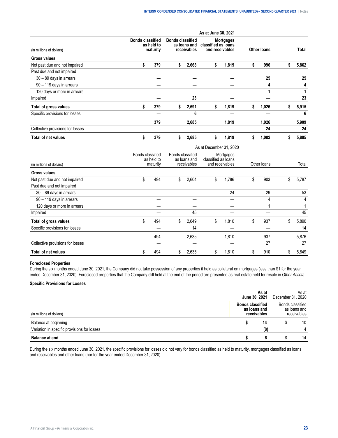|                                  |    |                                                   |    |                                                        | As at June 30, 2021 |                                                            |                    |       |   |       |  |
|----------------------------------|----|---------------------------------------------------|----|--------------------------------------------------------|---------------------|------------------------------------------------------------|--------------------|-------|---|-------|--|
| (in millions of dollars)         |    | <b>Bonds classified</b><br>as held to<br>maturity |    | <b>Bonds classified</b><br>as loans and<br>receivables |                     | <b>Mortgages</b><br>classified as loans<br>and receivables | <b>Other loans</b> |       |   | Total |  |
| <b>Gross values</b>              |    |                                                   |    |                                                        |                     |                                                            |                    |       |   |       |  |
| Not past due and not impaired    | \$ | 379                                               | s. | 2,668                                                  | \$                  | 1,819                                                      | \$                 | 996   | ъ | 5,862 |  |
| Past due and not impaired        |    |                                                   |    |                                                        |                     |                                                            |                    |       |   |       |  |
| 30 - 89 days in arrears          |    |                                                   |    |                                                        |                     |                                                            |                    | 25    |   | 25    |  |
| 90 - 119 days in arrears         |    |                                                   |    |                                                        |                     |                                                            |                    | 4     |   | 4     |  |
| 120 days or more in arrears      |    |                                                   |    |                                                        |                     |                                                            |                    |       |   |       |  |
| Impaired                         |    |                                                   |    | 23                                                     |                     |                                                            |                    |       |   | 23    |  |
| Total of gross values            | \$ | 379                                               | \$ | 2,691                                                  | \$                  | 1,819                                                      | 5                  | 1,026 | ж | 5,915 |  |
| Specific provisions for losses   |    |                                                   |    | 6                                                      |                     |                                                            |                    |       |   | 6     |  |
|                                  |    | 379                                               |    | 2,685                                                  |                     | 1,819                                                      |                    | 1,026 |   | 5,909 |  |
| Collective provisions for losses |    |                                                   |    |                                                        |                     |                                                            |                    | 24    |   | 24    |  |
| <b>Total of net values</b>       | S  | 379                                               | 5  | 2,685                                                  | s.                  | 1,819                                                      |                    | 1,002 |   | 5,885 |  |

|                                  | As at December 31, 2020                    |     |                                                 |       |                                                     |       |             |     |    |       |  |  |
|----------------------------------|--------------------------------------------|-----|-------------------------------------------------|-------|-----------------------------------------------------|-------|-------------|-----|----|-------|--|--|
| (in millions of dollars)         | Bonds classified<br>as held to<br>maturity |     | Bonds classified<br>as loans and<br>receivables |       | Mortgages<br>classified as loans<br>and receivables |       | Other loans |     |    | Total |  |  |
| <b>Gross values</b>              |                                            |     |                                                 |       |                                                     |       |             |     |    |       |  |  |
| Not past due and not impaired    | \$                                         | 494 | S.                                              | 2,604 | S                                                   | 1,786 | S           | 903 | S  | 5,787 |  |  |
| Past due and not impaired        |                                            |     |                                                 |       |                                                     |       |             |     |    |       |  |  |
| 30 - 89 days in arrears          |                                            |     |                                                 |       |                                                     | 24    |             | 29  |    | 53    |  |  |
| 90 - 119 days in arrears         |                                            |     |                                                 |       |                                                     |       |             | 4   |    | 4     |  |  |
| 120 days or more in arrears      |                                            |     |                                                 |       |                                                     |       |             |     |    |       |  |  |
| Impaired                         |                                            |     |                                                 | 45    |                                                     |       |             |     |    | 45    |  |  |
| Total of gross values            | \$                                         | 494 | \$                                              | 2,649 | \$                                                  | 1.810 | \$          | 937 | \$ | 5,890 |  |  |
| Specific provisions for losses   |                                            |     |                                                 | 14    |                                                     |       |             |     |    | 14    |  |  |
|                                  |                                            | 494 |                                                 | 2,635 |                                                     | 1.810 |             | 937 |    | 5,876 |  |  |
| Collective provisions for losses |                                            |     |                                                 |       |                                                     |       |             | 27  |    | 27    |  |  |
| Total of net values              | \$                                         | 494 | \$                                              | 2,635 | \$                                                  | 1,810 | Æ           | 910 | S  | 5,849 |  |  |

## **Foreclosed Properties**

During the six months ended June 30, 2021, the Company did not take possession of any properties it held as collateral on mortgages (less than \$1 for the year ended December 31, 2020). Foreclosed properties that the Company still held at the end of the period are presented as real estate held for resale in *Other Assets.*

# **Specific Provisions for Losses**

| <b>Balance at end</b>                       |                            |                   | 14                                             |
|---------------------------------------------|----------------------------|-------------------|------------------------------------------------|
| Variation in specific provisions for losses | 18                         |                   |                                                |
| Balance at beginning                        | 14                         |                   | 10                                             |
|                                             | classified<br>as Ioans and |                   | Bonds classified<br>as loans and<br>eceivables |
|                                             | As at<br>June 30, 2021     | December 31, 2020 | As at                                          |

During the six months ended June 30, 2021, the specific provisions for losses did not vary for bonds classified as held to maturity, mortgages classified as loans and receivables and other loans (nor for the year ended December 31, 2020).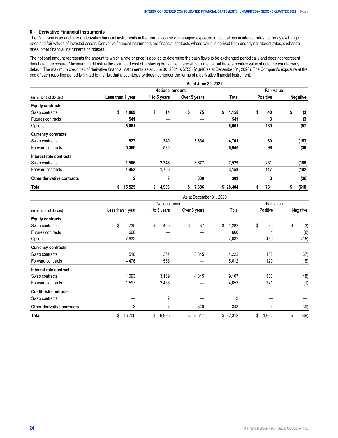## <span id="page-23-0"></span>**8 › Derivative Financial Instruments**

The Company is an end user of derivative financial instruments in the normal course of managing exposure to fluctuations in interest rates, currency exchange rates and fair values of invested assets. Derivative financial instruments are financial contracts whose value is derived from underlying interest rates, exchange rates, other financial instruments or indexes.

The notional amount represents the amount to which a rate or price is applied to determine the cash flows to be exchanged periodically and does not represent direct credit exposure. Maximum credit risk is the estimated cost of replacing derivative financial instruments that have a positive value should the counterparty default. The maximum credit risk of derivative financial instruments as at June 30, 2021 is \$755 (\$1,648 as at December 31, 2020). The Company's exposure at the end of each reporting period is limited to the risk that a counterparty does not honour the terms of a derivative financial instrument.

|                            | As at June 30, 2021 |                        |              |             |                 |                 |  |  |  |  |  |
|----------------------------|---------------------|------------------------|--------------|-------------|-----------------|-----------------|--|--|--|--|--|
|                            |                     | <b>Notional amount</b> |              |             |                 |                 |  |  |  |  |  |
| (in millions of dollars)   | Less than 1 year    | 1 to 5 years           | Over 5 years | Total       | <b>Positive</b> | <b>Negative</b> |  |  |  |  |  |
| <b>Equity contracts</b>    |                     |                        |              |             |                 |                 |  |  |  |  |  |
| Swap contracts             | \$<br>1,069         | \$<br>14               | \$<br>75     | \$<br>1,158 | \$<br>40        | \$<br>(3)       |  |  |  |  |  |
| Futures contracts          | 541                 |                        |              | 541         | 3               | (3)             |  |  |  |  |  |
| Options                    | 5,061               |                        |              | 5,061       | 189             | (57)            |  |  |  |  |  |
| <b>Currency contracts</b>  |                     |                        |              |             |                 |                 |  |  |  |  |  |
| Swap contracts             | 527                 | 340                    | 3,834        | 4,701       | 80              | (183)           |  |  |  |  |  |
| Forward contracts          | 5,366               | 580                    |              | 5,946       | 98              | (38)            |  |  |  |  |  |
| Interest rate contracts    |                     |                        |              |             |                 |                 |  |  |  |  |  |
| Swap contracts             | 1,506               | 2,346                  | 3,677        | 7,529       | 231             | (188)           |  |  |  |  |  |
| Forward contracts          | 1,453               | 1,706                  |              | 3,159       | 117             | (102)           |  |  |  |  |  |
| Other derivative contracts | 2                   |                        | 300          | 309         | 3               | (36)            |  |  |  |  |  |
| Total                      | 15,525<br>\$        | 4,993<br>\$            | 7,886<br>\$  | \$28,404    | 761<br>S        | (610)<br>5      |  |  |  |  |  |

As at December 31, 2020

|                              |                  | Notional amount | Fair value   |             |             |             |  |
|------------------------------|------------------|-----------------|--------------|-------------|-------------|-------------|--|
| (in millions of dollars)     | Less than 1 year | 1 to 5 years    | Over 5 years | Total       | Positive    | Negative    |  |
| <b>Equity contracts</b>      |                  |                 |              |             |             |             |  |
| Swap contracts               | \$<br>735        | \$<br>460       | \$<br>87     | \$<br>1,282 | \$<br>35    | \$<br>(3)   |  |
| Futures contracts            | 660              |                 |              | 660         | ٠           | (8)         |  |
| Options                      | 7,632            |                 |              | 7,632       | 439         | (215)       |  |
| <b>Currency contracts</b>    |                  |                 |              |             |             |             |  |
| Swap contracts               | 510              | 367             | 3,345        | 4,222       | 136         | (137)       |  |
| Forward contracts            | 4,476            | 536             |              | 5,012       | 129         | (18)        |  |
| Interest rate contracts      |                  |                 |              |             |             |             |  |
| Swap contracts               | 1,093            | 3,169           | 4,845        | 9,107       | 538         | (148)       |  |
| Forward contracts            | 1,597            | 2,456           |              | 4,053       | 371         | (1)         |  |
| <b>Credit risk contracts</b> |                  |                 |              |             |             |             |  |
| Swap contracts               |                  | 2               |              | 2           |             |             |  |
| Other derivative contracts   | 3                | 5               | 340          | 348         | 3           | (39)        |  |
| Total                        | 16,706<br>\$     | \$<br>6,995     | \$<br>8,617  | \$32,318    | \$<br>1,652 | \$<br>(569) |  |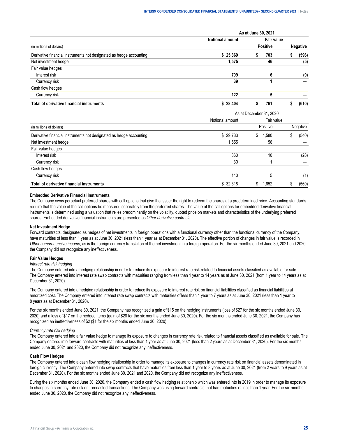|                                                                     | As at June 30, 2021    |  |                 |  |                 |  |  |  |  |
|---------------------------------------------------------------------|------------------------|--|-----------------|--|-----------------|--|--|--|--|
|                                                                     | <b>Notional amount</b> |  | Fair value      |  |                 |  |  |  |  |
| (in millions of dollars)                                            |                        |  | <b>Positive</b> |  | <b>Negative</b> |  |  |  |  |
| Derivative financial instruments not designated as hedge accounting | \$25.869               |  | 703             |  | (596)           |  |  |  |  |
| Net investment hedge                                                | 1.575                  |  | 46              |  | (5)             |  |  |  |  |
| Fair value hedges                                                   |                        |  |                 |  |                 |  |  |  |  |
| Interest risk                                                       | 799                    |  | b               |  | (9)             |  |  |  |  |
| Currency risk                                                       | 39                     |  |                 |  |                 |  |  |  |  |
| Cash flow hedges                                                    |                        |  |                 |  |                 |  |  |  |  |
| Currency risk                                                       | 122                    |  |                 |  |                 |  |  |  |  |
| Total of derivative financial instruments                           | 28.404                 |  | 761             |  | (610)           |  |  |  |  |

|                                                                     | As at December 31, 2020 |            |          |  |  |  |  |  |  |
|---------------------------------------------------------------------|-------------------------|------------|----------|--|--|--|--|--|--|
|                                                                     | Notional amount         | Fair value |          |  |  |  |  |  |  |
| (in millions of dollars)                                            |                         | Positive   | Negative |  |  |  |  |  |  |
| Derivative financial instruments not designated as hedge accounting | \$29.733                | 1.580<br>S | (540)    |  |  |  |  |  |  |
| Net investment hedge                                                | 1.555                   | 56         |          |  |  |  |  |  |  |
| Fair value hedges                                                   |                         |            |          |  |  |  |  |  |  |
| Interest risk                                                       | 860                     | 10         | (28)     |  |  |  |  |  |  |
| Currency risk                                                       | 30                      |            |          |  |  |  |  |  |  |
| Cash flow hedges                                                    |                         |            |          |  |  |  |  |  |  |
| Currency risk                                                       | 140                     |            | (1)      |  |  |  |  |  |  |
| Total of derivative financial instruments                           | \$32,318                | .652       | (569)    |  |  |  |  |  |  |

#### **Embedded Derivative Financial Instruments**

The Company owns perpetual preferred shares with call options that give the issuer the right to redeem the shares at a predetermined price. Accounting standards require that the value of the call options be measured separately from the preferred shares. The value of the call options for embedded derivative financial instruments is determined using a valuation that relies predominantly on the volatility, quoted price on markets and characteristics of the underlying preferred shares. Embedded derivative financial instruments are presented as *Other derivative contracts*.

#### **Net Investment Hedge**

Forward contracts, designated as hedges of net investments in foreign operations with a functional currency other than the functional currency of the Company, have maturities of less than 1 year as at June 30, 2021 (less than 1 year as at December 31, 2020). The effective portion of changes in fair value is recorded in *Other comprehensive income*, as is the foreign currency translation of the net investment in a foreign operation. For the six months ended June 30, 2021 and 2020, the Company did not recognize any ineffectiveness.

#### **Fair Value Hedges**

#### *Interest rate risk hedging*

The Company entered into a hedging relationship in order to reduce its exposure to interest rate risk related to financial assets classified as available for sale. The Company entered into interest rate swap contracts with maturities ranging from less than 1 year to 14 years as at June 30, 2021 (from 1 year to 14 years as at December 31, 2020).

The Company entered into a hedging relationship in order to reduce its exposure to interest rate risk on financial liabilities classified as financial liabilities at amortized cost. The Company entered into interest rate swap contracts with maturities of less than 1 year to 7 years as at June 30, 2021 (less than 1 year to 8 years as at December 31, 2020).

For the six months ended June 30, 2021, the Company has recognized a gain of \$15 on the hedging instruments (loss of \$27 for the six months ended June 30, 2020) and a loss of \$17 on the hedged items (gain of \$28 for the six months ended June 30, 2020). For the six months ended June 30, 2021, the Company has recognized an ineffectiveness of \$2 (\$1 for the six months ended June 30, 2020).

#### *Currency rate risk hedging*

The Company entered into a fair value hedge to manage its exposure to changes in currency rate risk related to financial assets classified as available for sale. The Company entered into forward contracts with maturities of less than 1 year as at June 30, 2021 (less than 2 years as at December 31, 2020). For the six months ended June 30, 2021 and 2020, the Company did not recognize any ineffectiveness.

#### **Cash Flow Hedges**

The Company entered into a cash flow hedging relationship in order to manage its exposure to changes in currency rate risk on financial assets denominated in foreign currency. The Company entered into swap contracts that have maturities from less than 1 year to 8 years as at June 30, 2021 (from 2 years to 9 years as at December 31, 2020). For the six months ended June 30, 2021 and 2020, the Company did not recognize any ineffectiveness.

During the six months ended June 30, 2020, the Company ended a cash flow hedging relationship which was entered into in 2019 in order to manage its exposure to changes in currency rate risk on forecasted transactions. The Company was using forward contracts that had maturities of less than 1 year. For the six months ended June 30, 2020, the Company did not recognize any ineffectiveness.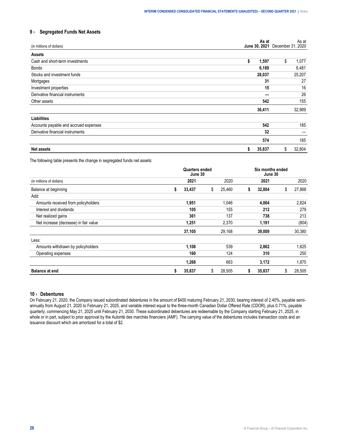# <span id="page-25-0"></span>**9 › Segregated Funds Net Assets**

| (in millions of dollars)              | As at        | As at<br>June 30, 2021 December 31, 2020 |
|---------------------------------------|--------------|------------------------------------------|
| <b>Assets</b>                         |              |                                          |
| Cash and short-term investments       | \$<br>1,597  | \$<br>1,077                              |
| Bonds                                 | 6,189        | 6,481                                    |
| Stocks and investment funds           | 28,037       | 25,207                                   |
| Mortgages                             | 31           | 27                                       |
| Investment properties                 | 15           | 16                                       |
| Derivative financial instruments      |              | 26                                       |
| Other assets                          | 542          | 155                                      |
|                                       | 36,411       | 32,989                                   |
| Liabilities                           |              |                                          |
| Accounts payable and accrued expenses | 542          | 185                                      |
| Derivative financial instruments      | 32           |                                          |
|                                       | 574          | 185                                      |
| <b>Net assets</b>                     | 35,837<br>\$ | 32,804<br>\$                             |

The following table presents the change in segregated funds net assets:

|                                       | <b>Quarters ended</b><br>June 30 | Six months ended<br>June 30 |              |   |        |    |        |
|---------------------------------------|----------------------------------|-----------------------------|--------------|---|--------|----|--------|
| (in millions of dollars)              |                                  | 2021                        | 2020         |   | 2021   |    | 2020   |
| Balance at beginning                  | 33,437<br>S                      |                             | \$<br>25,460 | 5 | 32,804 | \$ | 27,868 |
| Add:                                  |                                  |                             |              |   |        |    |        |
| Amounts received from policyholders   |                                  | 1,951                       | 1,046        |   | 4,064  |    | 2,824  |
| Interest and dividends                |                                  | 105                         | 155          |   | 212    |    | 279    |
| Net realized gains                    |                                  | 361                         | 137          |   | 738    |    | 213    |
| Net increase (decrease) in fair value |                                  | 1,251                       | 2,370        |   | 1,191  |    | (804)  |
|                                       | 37,105                           |                             | 29,168       |   | 39,009 |    | 30,380 |
| Less:                                 |                                  |                             |              |   |        |    |        |
| Amounts withdrawn by policyholders    |                                  | 1,108                       | 539          |   | 2,862  |    | 1,625  |
| Operating expenses                    |                                  | 160                         | 124          |   | 310    |    | 250    |
|                                       |                                  | 1,268                       | 663          |   | 3,172  |    | 1,875  |
| <b>Balance at end</b>                 | 35,837<br>S                      |                             | \$<br>28,505 | S | 35,837 | \$ | 28,505 |

# **10 › Debentures**

On February 21, 2020, the Company issued subordinated debentures in the amount of \$400 maturing February 21, 2030, bearing interest of 2.40%, payable semiannually from August 21, 2020 to February 21, 2025, and variable interest equal to the three-month Canadian Dollar Offered Rate (CDOR), plus 0.71%, payable quarterly, commencing May 21, 2025 until February 21, 2030. These subordinated debentures are redeemable by the Company starting February 21, 2025, in whole or in part, subject to prior approval by the Autorité des marchés financiers (AMF). The carrying value of the debentures includes transaction costs and an issuance discount which are amortized for a total of \$2.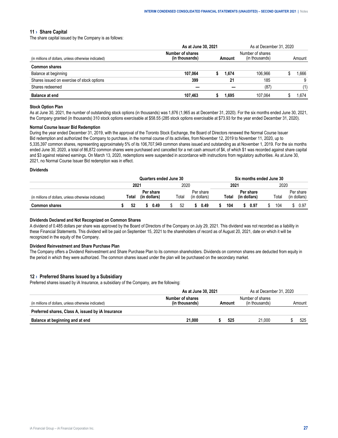#### <span id="page-26-0"></span>**11 › Share Capital**

The share capital issued by the Company is as follows:

|                                                      |                                | As at June 30, 2021 |     |                                    |        |     |  |
|------------------------------------------------------|--------------------------------|---------------------|-----|------------------------------------|--------|-----|--|
| (in millions of dollars, unless otherwise indicated) | Number of shares<br>thousands' |                     |     | Number of shares<br>(in thousands) | Amount |     |  |
| <b>Common shares</b>                                 |                                |                     |     |                                    |        |     |  |
| Balance at beginning                                 | 107.064                        |                     |     | 106 966                            |        | 666 |  |
| Shares issued on exercise of stock options           | 399                            |                     |     | 185                                |        |     |  |
| Shares redeemed.                                     | ---                            |                     | --- |                                    |        |     |  |
| <b>Balance at end</b>                                | 107.463                        |                     |     | 107.064                            |        |     |  |

# **Stock Option Plan**

As at June 30, 2021, the number of outstanding stock options (in thousands) was 1,876 (1,965 as at December 31, 2020). For the six months ended June 30, 2021, the Company granted (in thousands) 310 stock options exercisable at \$58.55 (285 stock options exercisable at \$73.93 for the year ended December 31, 2020).

#### **Normal Course Issuer Bid Redemption**

During the year ended December 31, 2019, with the approval of the Toronto Stock Exchange, the Board of Directors renewed the Normal Course Issuer Bid redemption and authorized the Company to purchase, in the normal course of its activities, from November 12, 2019 to November 11, 2020, up to 5,335,397 common shares, representing approximately 5% of its 106,707,949 common shares issued and outstanding as at November 1, 2019. For the six months ended June 30, 2020, a total of 86,872 common shares were purchased and cancelled for a net cash amount of \$4, of which \$1 was recorded against share capital and \$3 against retained earnings. On March 13, 2020, redemptions were suspended in accordance with instructions from regulatory authorities. As at June 30, 2021, no Normal Course Issuer Bid redemption was in effect.

## **Dividends**

|                                                         | Quarters ended June 30 |       |    |           |          |       | ่ months ended June 30 |                   |  |      |  |               |  |      |                        |
|---------------------------------------------------------|------------------------|-------|----|-----------|----------|-------|------------------------|-------------------|--|------|--|---------------|--|------|------------------------|
|                                                         | $202^{\circ}$          |       |    |           | 2020<br> |       |                        | $202^{\circ}$     |  |      |  | 2020          |  |      |                        |
| lions of dollars, unless otherwise indicated)<br>(in mi |                        | iotal | In | Per share |          | ⊺otal |                        | ∵snare<br>dollars |  | otal |  | ' snare       |  | ⊺ota | share<br>dollars<br>١n |
|                                                         |                        | 52    |    |           |          | 52    |                        | ).49              |  | 104  |  | $0.9^{\circ}$ |  | 104  | 0.97                   |

#### **Dividends Declared and Not Recognized on Common Shares**

A dividend of 0.485 dollars per share was approved by the Board of Directors of the Company on July 29, 2021. This dividend was not recorded as a liability in these Financial Statements. This dividend will be paid on September 15, 2021 to the shareholders of record as of August 20, 2021, date on which it will be recognized in the equity of the Company.

#### **Dividend Reinvestment and Share Purchase Plan**

The Company offers a Dividend Reinvestment and Share Purchase Plan to its common shareholders. Dividends on common shares are deducted from equity in the period in which they were authorized. The common shares issued under the plan will be purchased on the secondary market.

## **12 › Preferred Shares Issued by a Subsidiary**

Preferred shares issued by iA Insurance, a subsidiary of the Company, are the following:

|                                                      | As at June 30, 2021                |  |       | As at December 31, 2020         |  |  |        |
|------------------------------------------------------|------------------------------------|--|-------|---------------------------------|--|--|--------|
| (in millions of dollars, unless otherwise indicated) | Number of shares<br>(in thousands) |  | mount | Number of shares<br>⊧thousands) |  |  | Amount |
| Preferred shares, Class A, issued by iA Insurance    |                                    |  |       |                                 |  |  |        |
| Balance at beginning and at end                      | 21.000                             |  | 525   | 21.000                          |  |  | 525    |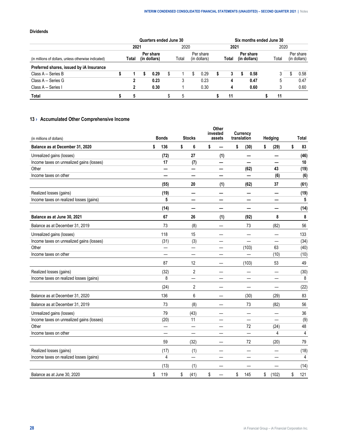# <span id="page-27-0"></span>**Dividends**

|                                                      |       | Quarters ended June 30    |       |                           |       | Six months ended June 30  |       |                           |
|------------------------------------------------------|-------|---------------------------|-------|---------------------------|-------|---------------------------|-------|---------------------------|
|                                                      | 2021  |                           | 2020  |                           | 2021  |                           | 2020  |                           |
| (in millions of dollars, unless otherwise indicated) | Total | Per share<br>(in dollars) | Total | Per share<br>(in dollars) | Total | Per share<br>(in dollars) | Total | Per share<br>(in dollars) |
| Preferred shares, issued by iA Insurance             |       |                           |       |                           |       |                           |       |                           |
| Class $A -$ Series B                                 |       | 0.29                      |       | 0.29                      |       | 0.58                      |       | 0.58                      |
| Class A - Series G                                   |       | 0.23                      |       | 0.23                      |       | 0.47                      |       | 0.47                      |
| Class A - Series I                                   |       | 0.30                      |       | 0.30                      |       | 0.60                      |       | 0.60                      |
| Total                                                |       |                           |       |                           |       |                           |       |                           |

# **13 › Accumulated Other Comprehensive Income**

| (in millions of dollars)                  | <b>Bonds</b> | <b>Stocks</b> | invested | Other<br>assets          | translation | Currency | Hedging                    | <b>Total</b> |
|-------------------------------------------|--------------|---------------|----------|--------------------------|-------------|----------|----------------------------|--------------|
| Balance as at December 31, 2020           | \$<br>136    | \$<br>6       | \$       |                          | \$          | (30)     | \$<br>(29)                 | \$<br>83     |
| Unrealized gains (losses)                 | (72)         | 27            |          | (1)                      |             |          | —                          | (46)         |
| Income taxes on unrealized gains (losses) | 17           | (7)           |          | —                        |             | —        | —                          | 10           |
| Other                                     | —            | —             |          | —                        |             | (62)     | 43                         | (19)         |
| Income taxes on other                     |              | —             |          | —                        |             | —        | (6)                        | (6)          |
|                                           | (55)         | 20            |          | (1)                      |             | (62)     | 37                         | (61)         |
| Realized losses (gains)                   | (19)         | -             |          | —                        |             |          | —                          | (19)         |
| Income taxes on realized losses (gains)   | 5            |               |          |                          |             |          |                            | 5            |
|                                           | (14)         | —             |          | —                        |             | —        | $\qquad \qquad \  \  \, -$ | (14)         |
| Balance as at June 30, 2021               | 67           | 26            |          | (1)                      |             | (92)     | 8                          | 8            |
| Balance as at December 31, 2019           | 73           | (8)           |          | ÷.                       |             | 73       | (82)                       | 56           |
| Unrealized gains (losses)                 | 118          | 15            |          | $\overline{\phantom{0}}$ |             |          |                            | 133          |
| Income taxes on unrealized gains (losses) | (31)         | (3)           |          |                          |             |          |                            | (34)         |
| Other                                     |              |               |          | $\overline{\phantom{0}}$ |             | (103)    | 63                         | (40)         |
| Income taxes on other                     |              |               |          |                          |             |          | (10)                       | (10)         |
|                                           | 87           | 12            |          |                          |             | (103)    | 53                         | 49           |
| Realized losses (gains)                   | (32)         | 2             |          | —                        |             |          |                            | (30)         |
| Income taxes on realized losses (gains)   | 8            | —             |          | -                        |             |          |                            | 8            |
|                                           | (24)         | 2             |          |                          |             |          |                            | (22)         |
| Balance as at December 31, 2020           | 136          | 6             |          | —                        |             | (30)     | (29)                       | 83           |
| Balance as at December 31, 2019           | 73           | (8)           |          |                          |             | 73       | (82)                       | 56           |
| Unrealized gains (losses)                 | 79           | (43)          |          |                          |             |          | $\overline{\phantom{0}}$   | 36           |
| Income taxes on unrealized gains (losses) | (20)         | 11            |          |                          |             |          | $\overline{\phantom{0}}$   | (9)          |
| Other                                     | —            |               |          |                          |             | 72       | (24)                       | 48           |
| Income taxes on other                     |              |               |          |                          |             |          | 4                          | 4            |
|                                           | 59           | (32)          |          | —                        |             | 72       | (20)                       | 79           |
| Realized losses (gains)                   | (17)         | (1)           |          |                          |             |          |                            | (18)         |
| Income taxes on realized losses (gains)   | 4            |               |          |                          |             |          |                            | 4            |
|                                           | (13)         | (1)           |          |                          |             |          |                            | (14)         |
| Balance as at June 30, 2020               | \$<br>119    | \$<br>(41)    | \$       |                          | \$          | 145      | \$<br>(102)                | \$<br>121    |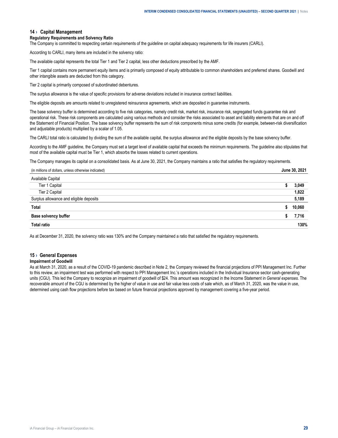#### <span id="page-28-0"></span>**14 › Capital Management**

#### **Regulatory Requirements and Solvency Ratio**

The Company is committed to respecting certain requirements of the guideline on capital adequacy requirements for life insurers (CARLI).

According to CARLI, many items are included in the solvency ratio:

The available capital represents the total Tier 1 and Tier 2 capital, less other deductions prescribed by the AMF.

Tier 1 capital contains more permanent equity items and is primarily composed of equity attributable to common shareholders and preferred shares. Goodwill and other intangible assets are deducted from this category.

Tier 2 capital is primarily composed of subordinated debentures.

The surplus allowance is the value of specific provisions for adverse deviations included in insurance contract liabilities.

The eligible deposits are amounts related to unregistered reinsurance agreements, which are deposited in guarantee instruments.

The base solvency buffer is determined according to five risk categories, namely credit risk, market risk, insurance risk, segregated funds guarantee risk and operational risk. These risk components are calculated using various methods and consider the risks associated to asset and liability elements that are on and off the Statement of Financial Position. The base solvency buffer represents the sum of risk components minus some credits (for example, between-risk diversification and adjustable products) multiplied by a scalar of 1.05.

The CARLI total ratio is calculated by dividing the sum of the available capital, the surplus allowance and the eligible deposits by the base solvency buffer.

According to the AMF guideline, the Company must set a target level of available capital that exceeds the minimum requirements. The guideline also stipulates that most of the available capital must be Tier 1, which absorbs the losses related to current operations.

The Company manages its capital on a consolidated basis. As at June 30, 2021, the Company maintains a ratio that satisfies the regulatory requirements.

| (in millions of dollars, unless otherwise indicated) | June 30, 2021 |
|------------------------------------------------------|---------------|
|------------------------------------------------------|---------------|

| Tier                     |                         |     |
|--------------------------|-------------------------|-----|
| Tier 2 Capital           |                         | 822 |
| ce and eliqible deposits |                         | 189 |
|                          |                         |     |
|                          | ----------------------- |     |
|                          |                         | 30% |

As at December 31, 2020, the solvency ratio was 130% and the Company maintained a ratio that satisfied the regulatory requirements.

# **15 › General Expenses**

# **Impairment of Goodwill**

As at March 31, 2020, as a result of the COVID-19 pandemic described in Note 2, the Company reviewed the financial projections of PPI Management Inc. Further to this review, an impairment test was performed with respect to PPI Management Inc.'s operations included in the Individual Insurance sector cash-generating units (CGU). This led the Company to recognize an impairment of goodwill of \$24. This amount was recognized in the Income Statement in *General expenses*. The recoverable amount of the CGU is determined by the higher of value in use and fair value less costs of sale which, as of March 31, 2020, was the value in use, determined using cash flow projections before tax based on future financial projections approved by management covering a five-year period.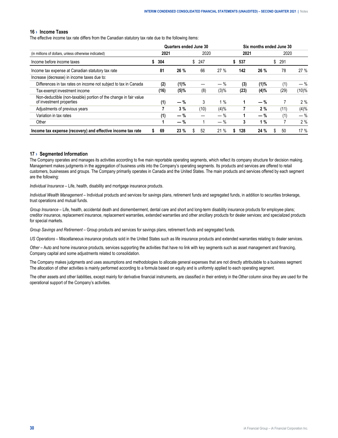#### <span id="page-29-0"></span>**16 › Income Taxes**

The effective income tax rate differs from the Canadian statutory tax rate due to the following items:

|                                                                                              |         |         | Quarters ended June 30 |         |          |       | Six months ended June 30 |       |
|----------------------------------------------------------------------------------------------|---------|---------|------------------------|---------|----------|-------|--------------------------|-------|
| (in millions of dollars, unless otherwise indicated)                                         | 2021    |         | 2020                   |         | 2021     |       | 2020                     |       |
| Income before income taxes                                                                   | 304     |         | 247<br>\$              |         | 537      |       | 291<br>\$                |       |
| Income tax expense at Canadian statutory tax rate                                            | 81      | 26 %    | 66                     | 27%     | 142      | 26 %  | 78                       | 27%   |
| Increase (decrease) in income taxes due to:                                                  |         |         |                        |         |          |       |                          |       |
| Differences in tax rates on income not subject to tax in Canada                              | (2)     | (1)%    |                        | $-$ %   | (3)      | (1)%  | (1)                      | $-$ % |
| Tax-exempt investment income                                                                 | (16)    | $(5)\%$ | (8)                    | (3)%    | (23)     | (4)%  | (29)                     | (10)% |
| Non-deductible (non-taxable) portion of the change in fair value<br>of investment properties | (1)     | $-$ %   | 3                      | $1\%$   |          | $-$ % |                          | 2%    |
| Adjustments of previous years                                                                |         | 3%      | (10)                   | $(4)\%$ |          | 2%    | (11)                     | (4)%  |
| Variation in tax rates                                                                       | (1)     | $-$ %   |                        | $-$ %   |          | $-$ % | (1)                      | $-$ % |
| Other                                                                                        |         | $-$ %   |                        | $-$ %   | 3        | 1%    |                          | 2%    |
| Income tax expense (recovery) and effective income tax rate                                  | 69<br>s | 23 %    | 52<br>S                | 21%     | 128<br>S | 24 %  | 50<br>S.                 | 17 %  |

#### **17 › Segmented Information**

The Company operates and manages its activities according to five main reportable operating segments, which reflect its company structure for decision making. Management makes judgments in the aggregation of business units into the Company's operating segments. Its products and services are offered to retail customers, businesses and groups. The Company primarily operates in Canada and the United States. The main products and services offered by each segment are the following:

*Individual Insurance* – Life, health, disability and mortgage insurance products.

*Individual Wealth Management* – Individual products and services for savings plans, retirement funds and segregated funds, in addition to securities brokerage, trust operations and mutual funds.

*Group Insurance* – Life, health, accidental death and dismemberment, dental care and short and long-term disability insurance products for employee plans; creditor insurance, replacement insurance, replacement warranties, extended warranties and other ancillary products for dealer services; and specialized products for special markets.

*Group Savings and Retirement* – Group products and services for savings plans, retirement funds and segregated funds.

*US Operations* – Miscellaneous insurance products sold in the United States such as life insurance products and extended warranties relating to dealer services.

*Other* – Auto and home insurance products, services supporting the activities that have no link with key segments such as asset management and financing, Company capital and some adjustments related to consolidation.

The Company makes judgments and uses assumptions and methodologies to allocate general expenses that are not directly attributable to a business segment. The allocation of other activities is mainly performed according to a formula based on equity and is uniformly applied to each operating segment.

The other assets and other liabilities, except mainly for derivative financial instruments, are classified in their entirety in the *Other* column since they are used for the operational support of the Company's activities.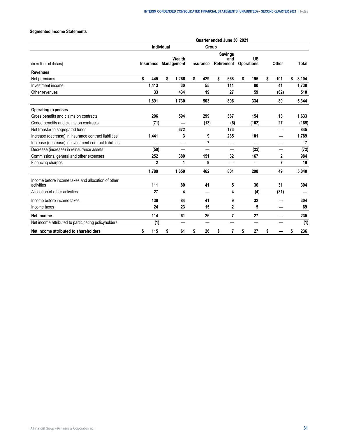# **Segmented Income Statements**

|                                                                  |              |            |                      |                | Quarter ended June 30, 2021         |                                |              |             |
|------------------------------------------------------------------|--------------|------------|----------------------|----------------|-------------------------------------|--------------------------------|--------------|-------------|
|                                                                  |              | Individual |                      | Group          |                                     |                                |              |             |
| (in millions of dollars)                                         | Insurance    |            | Wealth<br>Management | Insurance      | <b>Savings</b><br>and<br>Retirement | <b>US</b><br><b>Operations</b> | Other        | Total       |
| <b>Revenues</b>                                                  |              |            |                      |                |                                     |                                |              |             |
| Net premiums                                                     | \$<br>445    | \$         | 1,266                | \$<br>429      | \$<br>668                           | \$<br>195                      | \$<br>101    | \$<br>3,104 |
| Investment income                                                | 1,413        |            | 30                   | 55             | 111                                 | 80                             | 41           | 1,730       |
| Other revenues                                                   | 33           |            | 434                  | 19             | 27                                  | 59                             | (62)         | 510         |
|                                                                  | 1,891        |            | 1,730                | 503            | 806                                 | 334                            | 80           | 5,344       |
| <b>Operating expenses</b>                                        |              |            |                      |                |                                     |                                |              |             |
| Gross benefits and claims on contracts                           | 206          |            | 594                  | 299            | 367                                 | 154                            | 13           | 1,633       |
| Ceded benefits and claims on contracts                           | (71)         |            |                      | (13)           | (6)                                 | (102)                          | 27           | (165)       |
| Net transfer to segregated funds                                 |              |            | 672                  |                | 173                                 |                                |              | 845         |
| Increase (decrease) in insurance contract liabilities            | 1,441        |            | 3                    | 9              | 235                                 | 101                            | —            | 1,789       |
| Increase (decrease) in investment contract liabilities           |              |            |                      | $\overline{7}$ |                                     |                                |              | 7           |
| Decrease (increase) in reinsurance assets                        | (50)         |            | –                    |                | —                                   | (22)                           | —            | (72)        |
| Commissions, general and other expenses                          | 252          |            | 380                  | 151            | 32                                  | 167                            | $\mathbf{2}$ | 984         |
| Financing charges                                                | $\mathbf{2}$ |            | 1                    | 9              | -                                   | —                              | 7            | 19          |
|                                                                  | 1,780        |            | 1,650                | 462            | 801                                 | 298                            | 49           | 5,040       |
| Income before income taxes and allocation of other<br>activities | 111          |            | 80                   | 41             | 5                                   | 36                             | 31           | 304         |
| Allocation of other activities                                   | 27           |            | 4                    | —              | 4                                   | (4)                            | (31)         |             |
| Income before income taxes                                       | 138          |            | 84                   | 41             | 9                                   | 32                             |              | 304         |
| Income taxes                                                     | 24           |            | 23                   | 15             | 2                                   | 5                              | -            | 69          |
| Net income                                                       | 114          |            | 61                   | 26             | 7                                   | 27                             |              | 235         |
| Net income attributed to participating policyholders             | (1)          |            |                      | —              |                                     | —                              |              | (1)         |
| Net income attributed to shareholders                            | \$<br>115    | \$         | 61                   | \$<br>26       | \$<br>7                             | \$<br>27                       | \$           | \$<br>236   |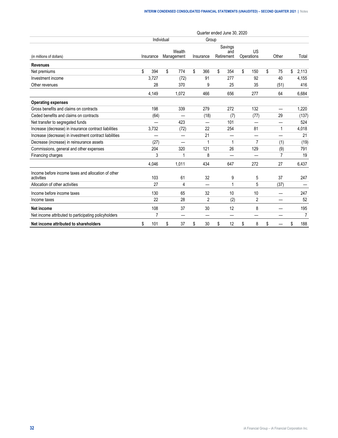|                                                                  |           |            |                      |                | Quarter ended June 30, 2020  |                  |          |                |
|------------------------------------------------------------------|-----------|------------|----------------------|----------------|------------------------------|------------------|----------|----------------|
|                                                                  |           | Individual |                      | Group          |                              |                  |          |                |
| (in millions of dollars)                                         | Insurance |            | Wealth<br>Management | Insurance      | Savings<br>and<br>Retirement | US<br>Operations | Other    | Total          |
| <b>Revenues</b>                                                  |           |            |                      |                |                              |                  |          |                |
| Net premiums                                                     | \$<br>394 | \$         | 774                  | \$<br>366      | \$<br>354                    | \$<br>150        | \$<br>75 | \$<br>2,113    |
| Investment income                                                | 3,727     |            | (72)                 | 91             | 277                          | 92               | 40       | 4,155          |
| Other revenues                                                   | 28        |            | 370                  | 9              | 25                           | 35               | (51)     | 416            |
|                                                                  | 4,149     |            | 1,072                | 466            | 656                          | 277              | 64       | 6,684          |
| <b>Operating expenses</b>                                        |           |            |                      |                |                              |                  |          |                |
| Gross benefits and claims on contracts                           | 198       |            | 339                  | 279            | 272                          | 132              | —        | 1,220          |
| Ceded benefits and claims on contracts                           | (64)      |            |                      | (18)           | (7)                          | (77)             | 29       | (137)          |
| Net transfer to segregated funds                                 |           |            | 423                  | —              | 101                          |                  | —        | 524            |
| Increase (decrease) in insurance contract liabilities            | 3,732     |            | (72)                 | 22             | 254                          | 81               | 1        | 4,018          |
| Increase (decrease) in investment contract liabilities           |           |            |                      | 21             |                              | —                |          | 21             |
| Decrease (increase) in reinsurance assets                        | (27)      |            |                      | 1              | 1                            | $\overline{7}$   | (1)      | (19)           |
| Commissions, general and other expenses                          | 204       |            | 320                  | 121            | 26                           | 129              | (9)      | 791            |
| Financing charges                                                | 3         |            |                      | 8              |                              |                  | 7        | 19             |
|                                                                  | 4,046     |            | 1,011                | 434            | 647                          | 272              | 27       | 6,437          |
| Income before income taxes and allocation of other<br>activities | 103       |            | 61                   | 32             | 9                            | 5                | 37       | 247            |
| Allocation of other activities                                   | 27        |            | 4                    |                | 1                            | 5                | (37)     |                |
| Income before income taxes                                       | 130       |            | 65                   | 32             | 10                           | 10               |          | 247            |
| Income taxes                                                     | 22        |            | 28                   | $\overline{2}$ | (2)                          | 2                |          | 52             |
| Net income                                                       | 108       |            | 37                   | 30             | 12                           | 8                |          | 195            |
| Net income attributed to participating policyholders             | 7         |            |                      | -              |                              |                  |          | $\overline{7}$ |
| Net income attributed to shareholders                            | \$<br>101 | \$         | 37                   | \$<br>30       | \$<br>12                     | \$<br>8          | \$       | \$<br>188      |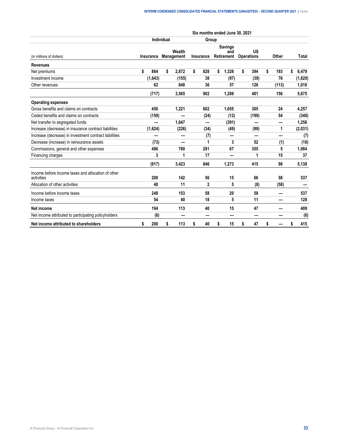|                                                                  |           |            |                          |                  | Six months ended June 30, 2021      |                         |              |             |
|------------------------------------------------------------------|-----------|------------|--------------------------|------------------|-------------------------------------|-------------------------|--------------|-------------|
|                                                                  |           | Individual |                          | Group            |                                     |                         |              |             |
| (in millions of dollars)                                         | Insurance |            | Wealth<br>Management     | <b>Insurance</b> | <b>Savings</b><br>and<br>Retirement | US<br><b>Operations</b> | Other        | Total       |
| <b>Revenues</b>                                                  |           |            |                          |                  |                                     |                         |              |             |
| Net premiums                                                     | \$<br>864 | \$         | 2,872                    | \$<br>828        | \$<br>1,328                         | \$<br>394               | \$<br>193    | \$<br>6,479 |
| Investment income                                                | (1,643)   |            | (155)                    | 38               | (97)                                | (39)                    | 76           | (1,820)     |
| Other revenues                                                   | 62        |            | 848                      | 36               | 57                                  | 126                     | (113)        | 1,016       |
|                                                                  | (717)     |            | 3,565                    | 902              | 1,288                               | 481                     | 156          | 5,675       |
| <b>Operating expenses</b>                                        |           |            |                          |                  |                                     |                         |              |             |
| Gross benefits and claims on contracts                           | 450       |            | 1,221                    | 602              | 1,655                               | 305                     | 24           | 4,257       |
| Ceded benefits and claims on contracts                           | (159)     |            |                          | (24)             | (12)                                | (199)                   | 54           | (340)       |
| Net transfer to segregated funds                                 |           |            | 1,647                    |                  | (391)                               |                         | —            | 1,256       |
| Increase (decrease) in insurance contract liabilities            | (1,624)   |            | (226)                    | (34)             | (49)                                | (99)                    | $\mathbf{1}$ | (2,031)     |
| Increase (decrease) in investment contract liabilities           |           |            |                          | (7)              | –                                   | —                       |              | (7)         |
| Decrease (increase) in reinsurance assets                        | (73)      |            | $\overline{\phantom{0}}$ | 1                | 3                                   | 52                      | (1)          | (18)        |
| Commissions, general and other expenses                          | 486       |            | 780                      | 291              | 67                                  | 355                     | 5            | 1,984       |
| Financing charges                                                | 3         |            | 1                        | 17               |                                     | 1                       | 15           | 37          |
|                                                                  | (917)     |            | 3,423                    | 846              | 1,273                               | 415                     | 98           | 5,138       |
| Income before income taxes and allocation of other<br>activities | 200       |            | 142                      | 56               | 15                                  | 66                      | 58           | 537         |
| Allocation of other activities                                   | 48        |            | 11                       | $\mathbf{2}$     | 5                                   | (8)                     | (58)         |             |
| Income before income taxes                                       | 248       |            | 153                      | 58               | 20                                  | 58                      |              | 537         |
| Income taxes                                                     | 54        |            | 40                       | 18               | 5                                   | 11                      |              | 128         |
| Net income                                                       | 194       |            | 113                      | 40               | 15                                  | 47                      |              | 409         |
| Net income attributed to participating policyholders             | (6)       |            |                          | -                |                                     | -                       |              | (6)         |
| Net income attributed to shareholders                            | \$<br>200 | \$         | 113                      | \$<br>40         | \$<br>15                            | \$<br>47                | \$           | \$<br>415   |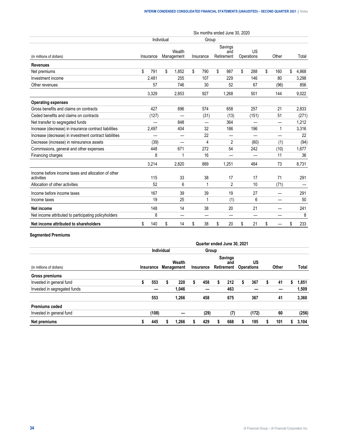|                                                                  |           |            |                      |           | Six months ended June 30, 2020 |                  |           |             |
|------------------------------------------------------------------|-----------|------------|----------------------|-----------|--------------------------------|------------------|-----------|-------------|
|                                                                  |           | Individual |                      | Group     |                                |                  |           |             |
| (in millions of dollars)                                         | Insurance |            | Wealth<br>Management | Insurance | Savings<br>and<br>Retirement   | US<br>Operations | Other     | Total       |
| <b>Revenues</b>                                                  |           |            |                      |           |                                |                  |           |             |
| Net premiums                                                     | \$<br>791 | \$         | 1,852                | \$<br>790 | \$<br>987                      | \$<br>288        | \$<br>160 | \$<br>4,868 |
| Investment income                                                | 2,481     |            | 255                  | 107       | 229                            | 146              | 80        | 3,298       |
| Other revenues                                                   | 57        |            | 746                  | 30        | 52                             | 67               | (96)      | 856         |
|                                                                  | 3,329     |            | 2,853                | 927       | 1,268                          | 501              | 144       | 9,022       |
| <b>Operating expenses</b>                                        |           |            |                      |           |                                |                  |           |             |
| Gross benefits and claims on contracts                           | 427       |            | 896                  | 574       | 658                            | 257              | 21        | 2,833       |
| Ceded benefits and claims on contracts                           | (127)     |            |                      | (31)      | (13)                           | (151)            | 51        | (271)       |
| Net transfer to segregated funds                                 |           |            | 848                  |           | 364                            |                  |           | 1,212       |
| Increase (decrease) in insurance contract liabilities            | 2,497     |            | 404                  | 32        | 186                            | 196              | 1         | 3,316       |
| Increase (decrease) in investment contract liabilities           |           |            |                      | 22        |                                |                  |           | 22          |
| Decrease (increase) in reinsurance assets                        | (39)      |            |                      | 4         | $\overline{2}$                 | (60)             | (1)       | (94)        |
| Commissions, general and other expenses                          | 448       |            | 671                  | 272       | 54                             | 242              | (10)      | 1,677       |
| Financing charges                                                | 8         |            | 1                    | 16        |                                | —                | 11        | 36          |
|                                                                  | 3,214     |            | 2,820                | 889       | 1,251                          | 484              | 73        | 8,731       |
| Income before income taxes and allocation of other<br>activities | 115       |            | 33                   | 38        | 17                             | 17               | 71        | 291         |
| Allocation of other activities                                   | 52        |            | 6                    | 1         | 2                              | 10               | (71)      |             |
| Income before income taxes                                       | 167       |            | 39                   | 39        | 19                             | 27               |           | 291         |
| Income taxes                                                     | 19        |            | 25                   | 1         | (1)                            | 6                |           | 50          |
| <b>Net income</b>                                                | 148       |            | 14                   | 38        | 20                             | 21               |           | 241         |
| Net income attributed to participating policyholders             | 8         |            |                      |           |                                | —                |           | 8           |
| Net income attributed to shareholders                            | \$<br>140 | \$         | 14                   | \$<br>38  | \$<br>20                       | \$<br>21         | \$        | \$<br>233   |

# **Segmented Premiums**

|                              |           |       |                   |                      |   | Quarter ended June 30, 2021 |    |                                     |                         |   |       |   |       |
|------------------------------|-----------|-------|-------------------|----------------------|---|-----------------------------|----|-------------------------------------|-------------------------|---|-------|---|-------|
|                              |           |       | <b>Individual</b> |                      |   | Group                       |    |                                     |                         |   |       |   |       |
| (in millions of dollars)     | Insurance |       |                   | Wealth<br>Management |   | Insurance                   |    | <b>Savings</b><br>and<br>Retirement | US<br><b>Operations</b> |   | Other |   | Total |
| Gross premiums               |           |       |                   |                      |   |                             |    |                                     |                         |   |       |   |       |
| Invested in general fund     | \$        | 553   |                   | 220                  | S | 458                         | \$ | 212                                 | 367                     | S | 41    |   | 1,851 |
| Invested in segregated funds |           |       |                   | 1,046                |   |                             |    | 463                                 |                         |   |       |   | 1,509 |
|                              |           | 553   |                   | 1,266                |   | 458                         |    | 675                                 | 367                     |   | 41    |   | 3,360 |
| <b>Premiums ceded</b>        |           |       |                   |                      |   |                             |    |                                     |                         |   |       |   |       |
| Invested in general fund     |           | (108) |                   |                      |   | (29)                        |    | (7)                                 | (172)                   |   | 60    |   | (256) |
| Net premiums                 |           | 445   |                   | 1,266                |   | 429                         | S  | 668                                 | 195                     |   | 101   | S | 3,104 |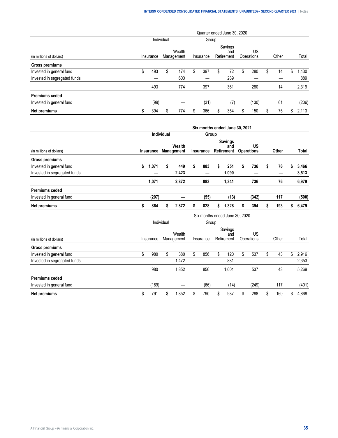|                              |    |           |            |                      |    |           |    | Quarter ended June 30, 2020  |   |                  |          |    |       |
|------------------------------|----|-----------|------------|----------------------|----|-----------|----|------------------------------|---|------------------|----------|----|-------|
|                              |    |           | Individual |                      |    | Group     |    |                              |   |                  |          |    |       |
| (in millions of dollars)     |    | Insurance |            | Wealth<br>Management |    | Insurance |    | Savings<br>and<br>Retirement |   | US<br>Operations | Other    |    | Total |
| Gross premiums               |    |           |            |                      |    |           |    |                              |   |                  |          |    |       |
| Invested in general fund     | S  | 493       | S          | 174                  | \$ | 397       | \$ | 72                           | S | 280              | \$<br>14 | S  | .430  |
| Invested in segregated funds |    |           |            | 600                  |    |           |    | 289                          |   |                  |          |    | 889   |
|                              |    | 493       |            | 774                  |    | 397       |    | 361                          |   | 280              | 14       |    | 2,319 |
| <b>Premiums ceded</b>        |    |           |            |                      |    |           |    |                              |   |                  |          |    |       |
| Invested in general fund     |    | (99)      |            |                      |    | (31)      |    | (7)                          |   | (130)            | 61       |    | (206) |
| Net premiums                 | \$ | 394       | S          | 774                  | S  | 366       | S  | 354                          | S | 150              | 75       | S. | 2,113 |

|                              |             |            |                             |           | Six months ended June 30, 2021             |    |                                |           |             |
|------------------------------|-------------|------------|-----------------------------|-----------|--------------------------------------------|----|--------------------------------|-----------|-------------|
|                              |             | Individual |                             | Group     |                                            |    |                                |           |             |
| (in millions of dollars)     | Insurance   |            | Wealth<br><b>Management</b> | Insurance | <b>Savings</b><br>and<br><b>Retirement</b> |    | <b>US</b><br><b>Operations</b> | Other     | Total       |
| Gross premiums               |             |            |                             |           |                                            |    |                                |           |             |
| Invested in general fund     | \$<br>1,071 | \$         | 449                         | \$<br>883 | \$<br>251                                  | \$ | 736                            | \$<br>76  | \$<br>3,466 |
| Invested in segregated funds |             |            | 2,423                       | —         | 1,090                                      |    | –                              |           | 3,513       |
|                              | 1,071       |            | 2,872                       | 883       | 1,341                                      |    | 736                            | 76        | 6,979       |
| <b>Premiums ceded</b>        |             |            |                             |           |                                            |    |                                |           |             |
| Invested in general fund     | (207)       |            |                             | (55)      | (13)                                       |    | (342)                          | 117       | (500)       |
| Net premiums                 | \$<br>864   | \$         | 2,872                       | \$<br>828 | \$<br>1,328                                | S  | 394                            | \$<br>193 | \$<br>6,479 |
|                              |             |            |                             |           | Six months ended June 30, 2020             |    |                                |           |             |
|                              |             | Individual |                             | Group     |                                            |    |                                |           |             |
| (in millions of dollars)     | Insurance   |            | Wealth<br>Management        | Insurance | Savings<br>and<br>Retirement               |    | US<br>Operations               | Other     | Total       |
| Gross premiums               |             |            |                             |           |                                            |    |                                |           |             |
| Invested in general fund     | \$<br>980   | \$         | 380                         | \$<br>856 | \$<br>120                                  | \$ | 537                            | \$<br>43  | \$<br>2,916 |
| Invested in segregated funds |             |            | 1,472                       |           | 881                                        |    |                                |           | 2,353       |
|                              | 980         |            | 1,852                       | 856       | 1,001                                      |    | 537                            | 43        | 5,269       |
| <b>Premiums ceded</b>        |             |            |                             |           |                                            |    |                                |           |             |
| Invested in general fund     | (189)       |            | —                           | (66)      | (14)                                       |    | (249)                          | 117       | (401)       |
| Net premiums                 | \$<br>791   | \$         | 1,852                       | \$<br>790 | \$<br>987                                  | \$ | 288                            | \$<br>160 | \$<br>4,868 |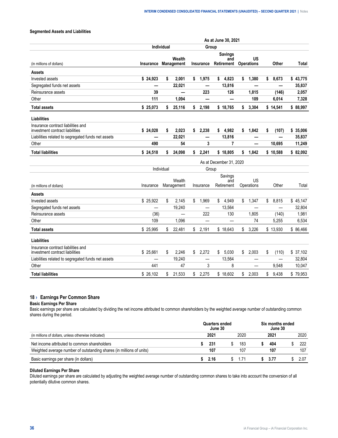# <span id="page-35-0"></span>**Segmented Assets and Liabilities**

|                                                                       | As at June 30, 2021 |               |                          |    |                          |                                     |    |                                |    |          |           |
|-----------------------------------------------------------------------|---------------------|---------------|--------------------------|----|--------------------------|-------------------------------------|----|--------------------------------|----|----------|-----------|
|                                                                       |                     | Individual    |                          |    | Group                    |                                     |    |                                |    |          |           |
| (in millions of dollars)                                              | Insurance           |               | Wealth<br>Management     |    | Insurance                | <b>Savings</b><br>and<br>Retirement |    | <b>US</b><br><b>Operations</b> |    | Other    | Total     |
| Assets                                                                |                     |               |                          |    |                          |                                     |    |                                |    |          |           |
| Invested assets                                                       | \$24,923            | \$            | 2,001                    | \$ | 1,975                    | 4,823<br>\$                         | \$ | 1,380                          | \$ | 8,673    | \$43,775  |
| Segregated funds net assets                                           |                     |               | 22,021                   |    | —                        | 13,816                              |    |                                |    |          | 35,837    |
| Reinsurance assets                                                    | 39                  |               |                          |    | 223                      | 126                                 |    | 1,815                          |    | (146)    | 2,057     |
| Other                                                                 | 111                 |               | 1.094                    |    | —                        |                                     |    | 109                            |    | 6.014    | 7,328     |
| <b>Total assets</b>                                                   | \$25,073            | \$            | 25,116                   | \$ | 2,198                    | \$18,765                            | \$ | 3,304                          |    | \$14,541 | \$88,997  |
| Liabilities                                                           |                     |               |                          |    |                          |                                     |    |                                |    |          |           |
| Insurance contract liabilities and<br>investment contract liabilities | \$24,028            | \$            | 2,023                    | \$ | 2,238                    | \$<br>4,982                         | \$ | 1,842                          | \$ | (107)    | \$35,006  |
| Liabilities related to segregated funds net assets                    |                     |               | 22,021                   |    | —                        | 13,816                              |    |                                |    |          | 35,837    |
| Other                                                                 | 490                 |               | 54                       |    | 3                        | 7                                   |    |                                |    | 10,695   | 11,249    |
| <b>Total liabilities</b>                                              | \$24,518            | $\mathsf{\$}$ | 24,098                   | \$ | 2,241                    | \$18,805                            | \$ | 1,842                          |    | \$10,588 | \$82,092  |
|                                                                       |                     |               |                          |    |                          | As at December 31, 2020             |    |                                |    |          |           |
|                                                                       |                     | Individual    |                          |    | Group                    |                                     |    |                                |    |          |           |
|                                                                       |                     |               |                          |    |                          | Savings                             |    |                                |    |          |           |
| (in millions of dollars)                                              | Insurance           |               | Wealth<br>Management     |    | Insurance                | and<br>Retirement                   |    | <b>US</b><br>Operations        |    | Other    | Total     |
| <b>Assets</b>                                                         |                     |               |                          |    |                          |                                     |    |                                |    |          |           |
| Invested assets                                                       | \$25,922            | \$            | 2.145                    | \$ | 1,969                    | \$<br>4,949                         | \$ | 1,347                          | \$ | 8,815    | \$45,147  |
| Segregated funds net assets                                           |                     |               | 19,240                   |    | $\overline{\phantom{0}}$ | 13,564                              |    |                                |    |          | 32,804    |
| Reinsurance assets                                                    | (36)                |               | $\overline{\phantom{a}}$ |    | 222                      | 130                                 |    | 1,805                          |    | (140)    | 1,981     |
| Other                                                                 | 109                 |               | 1,096                    |    |                          |                                     |    | 74                             |    | 5,255    | 6,534     |
| <b>Total assets</b>                                                   | \$25,995            | \$            | 22.481                   | \$ | 2,191                    | \$18.643                            | \$ | 3.226                          |    | \$13.930 | \$ 86.466 |
| Liabilities                                                           |                     |               |                          |    |                          |                                     |    |                                |    |          |           |
| Insurance contract liabilities and<br>investment contract liabilities | \$25,661            | \$            | 2,246                    | \$ | 2,272                    | \$<br>5,030                         | \$ | 2,003                          | \$ | (110)    | \$37,102  |
| Liabilities related to segregated funds net assets                    |                     |               | 19,240                   |    | —                        | 13,564                              |    |                                |    | —        | 32,804    |
| Other                                                                 | 441                 |               | 47                       |    | 3                        | 8                                   |    | —                              |    | 9,548    | 10,047    |
| <b>Total liabilities</b>                                              | \$26.102            | \$            | 21.533                   | \$ | 2.275                    | \$18.602                            | \$ | 2,003                          | \$ | 9.438    | \$79,953  |

# **18 › Earnings Per Common Share**

#### **Basic Earnings Per Share**

Basic earnings per share are calculated by dividing the net income attributed to common shareholders by the weighted average number of outstanding common shares during the period.

|                                                                      |  | Juarters ended<br>June 30 |  |      |  |      | Six months ended<br>June 30 |      |  |  |  |
|----------------------------------------------------------------------|--|---------------------------|--|------|--|------|-----------------------------|------|--|--|--|
| (in millions of dollars, unless otherwise indicated)                 |  | $202^{\circ}$             |  | 2020 |  | 2021 |                             | 2020 |  |  |  |
| Net income attributed to common shareholders                         |  | 231                       |  | 183  |  | 404  |                             | 222  |  |  |  |
| Weighted average number of outstanding shares (in millions of units) |  |                           |  |      |  |      |                             | 107  |  |  |  |
| Basic earnings per share (in dollars)                                |  | 2.16                      |  | 1.71 |  | 3.77 |                             | 2.07 |  |  |  |

#### **Diluted Earnings Per Share**

Diluted earnings per share are calculated by adjusting the weighted average number of outstanding common shares to take into account the conversion of all potentially dilutive common shares.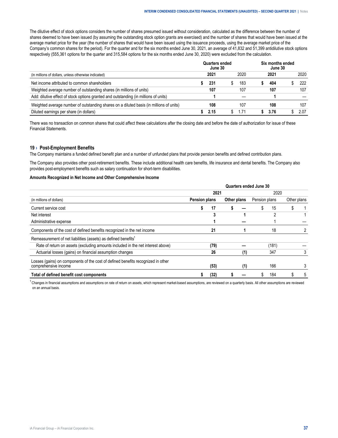<span id="page-36-0"></span>The dilutive effect of stock options considers the number of shares presumed issued without consideration, calculated as the difference between the number of shares deemed to have been issued (by assuming the outstanding stock option grants are exercised) and the number of shares that would have been issued at the average market price for the year (the number of shares that would have been issued using the issuance proceeds, using the average market price of the Company's common shares for the period). For the quarter and for the six months ended June 30, 2021, an average of 41,832 and 51,399 antidilutive stock options respectively (555,361 options for the quarter and 315,584 options for the six months ended June 30, 2020) were excluded from the calculation.

| (in millions of dollars, unless otherwise indicated)                                    | Quarters ended<br>June 30 | Six months ended<br>June 30 |  |      |  |      |
|-----------------------------------------------------------------------------------------|---------------------------|-----------------------------|--|------|--|------|
|                                                                                         | 2021                      | 2020                        |  | 2021 |  | 2020 |
| Net income attributed to common shareholders                                            | 231                       | 183                         |  | 404  |  | 222  |
| Weighted average number of outstanding shares (in millions of units)                    | 107                       | 107                         |  | 107  |  | 107  |
| Add: dilutive effect of stock options granted and outstanding (in millions of units)    |                           |                             |  |      |  |      |
| Weighted average number of outstanding shares on a diluted basis (in millions of units) | 108                       | 107                         |  | 108  |  | 107  |
| Diluted earnings per share (in dollars)                                                 | 2.15                      | 1.71                        |  | 3.76 |  | 2.07 |

There was no transaction on common shares that could affect these calculations after the closing date and before the date of authorization for issue of these Financial Statements.

#### **19 › Post-Employment Benefits**

The Company maintains a funded defined benefit plan and a number of unfunded plans that provide pension benefits and defined contribution plans.

The Company also provides other post-retirement benefits. These include additional health care benefits, life insurance and dental benefits. The Company also provides post-employment benefits such as salary continuation for short-term disabilities.

#### **Amounts Recognized in Net Income and Other Comprehensive Income**

|                                                                                                          | Quarters ended June 30 |      |             |     |               |       |             |   |  |  |
|----------------------------------------------------------------------------------------------------------|------------------------|------|-------------|-----|---------------|-------|-------------|---|--|--|
|                                                                                                          |                        | 2021 |             |     | 2020          |       |             |   |  |  |
| (in millions of dollars)                                                                                 | Pension plans          |      | Other plans |     | Pension plans |       | Other plans |   |  |  |
| Current service cost                                                                                     |                        | 17   |             |     |               | 15    |             |   |  |  |
| Net interest                                                                                             |                        |      |             |     |               |       |             |   |  |  |
| Administrative expense                                                                                   |                        |      |             |     |               |       |             |   |  |  |
| Components of the cost of defined benefits recognized in the net income                                  |                        | 21   |             |     |               | 18    |             |   |  |  |
| Remeasurement of net liabilities (assets) as defined benefits <sup>1</sup>                               |                        |      |             |     |               |       |             |   |  |  |
| Rate of return on assets (excluding amounts included in the net interest above)                          |                        | (79) |             |     |               | (181) |             |   |  |  |
| Actuarial losses (gains) on financial assumption changes                                                 |                        | 26   |             | (1) |               | 347   |             | 3 |  |  |
| Losses (gains) on components of the cost of defined benefits recognized in other<br>comprehensive income |                        | (53) |             | (1) |               | 166   |             |   |  |  |
| Total of defined benefit cost components                                                                 |                        | (32) |             |     |               | 184   |             | 5 |  |  |

<sup>1</sup> Changes in financial assumptions and assumptions on rate of return on assets, which represent market-based assumptions, are reviewed on a quarterly basis. All other assumptions are reviewed on an annual basis.